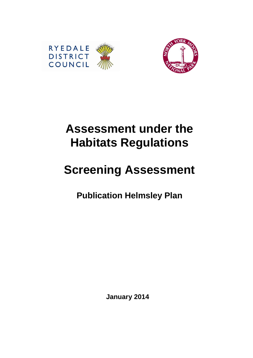



# **Assessment under the Habitats Regulations**

# **Screening Assessment**

**Publication Helmsley Plan** 

**January 2014**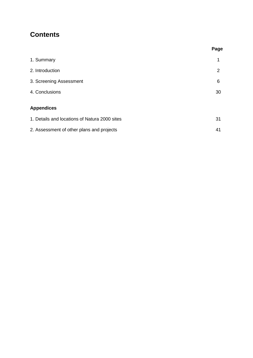# **Contents**

|                                               | Page |
|-----------------------------------------------|------|
| 1. Summary                                    | 1    |
| 2. Introduction                               | 2    |
| 3. Screening Assessment                       | 6    |
| 4. Conclusions                                | 30   |
| <b>Appendices</b>                             |      |
| 1. Details and locations of Natura 2000 sites | 31   |
| 2. Assessment of other plans and projects     | 41   |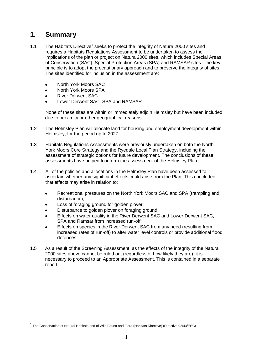# **1. Summary**

 $\overline{a}$ 

- 1.1 The Habitats Directive<sup>1</sup> seeks to protect the integrity of Natura 2000 sites and requires a Habitats Regulations Assessment to be undertaken to assess the implications of the plan or project on Natura 2000 sites, which includes Special Areas of Conservation (SAC), Special Protection Areas (SPA) and RAMSAR sites. The key principle is to adopt the precautionary approach and to preserve the integrity of sites. The sites identified for inclusion in the assessment are:
	- North York Moors SAC
	- North York Moors SPA  $\bullet$
	- River Derwent SAC  $\bullet$
	- Lower Derwent SAC, SPA and RAMSAR

None of these sites are within or immediately adjoin Helmsley but have been included due to proximity or other geographical reasons.

- 1.2 The Helmsley Plan will allocate land for housing and employment development within Helmsley, for the period up to 2027.
- 1.3 Habitats Regulations Assessments were previously undertaken on both the North York Moors Core Strategy and the Ryedale Local Plan Strategy, including the assessment of strategic options for future development. The conclusions of these assessments have helped to inform the assessment of the Helmsley Plan.
- 1.4 All of the policies and allocations in the Helmsley Plan have been assessed to ascertain whether any significant effects could arise from the Plan. This concluded that effects may arise in relation to:
	- Recreational pressures on the North York Moors SAC and SPA (trampling and  $\bullet$ disturbance);
	- Loss of foraging ground for golden plover;
	- Disturbance to golden plover on foraging ground;
	- Effects on water quality in the River Derwent SAC and Lower Derwent SAC, SPA and Ramsar from increased run-off;
	- Effects on species in the River Derwent SAC from any need (resulting from increased rates of run-off) to alter water level controls or provide additional flood defences.
- 1.5 As a result of the Screening Assessment, as the effects of the integrity of the Natura 2000 sites above cannot be ruled out (regardless of how likely they are), it is necessary to proceed to an Appropriate Assessment, This is contained in a separate report.

<sup>&</sup>lt;sup>1</sup> The Conservation of Natural Habitats and of Wild Fauna and Flora (Habitats Directive) (Directive 92/43/EEC)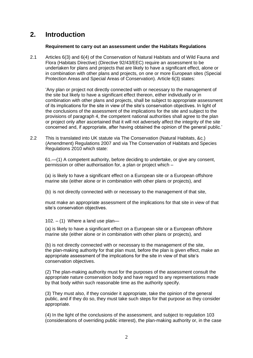# **2. Introduction**

## **Requirement to carry out an assessment under the Habitats Regulations**

2.1 Articles 6(3) and 6(4) of the Conservation of Natural Habitats and of Wild Fauna and Flora (Habitats Directive) (Directive 92/43/EEC) require an assessment to be undertaken for plans and projects that are likely to have a significant effect, alone or in combination with other plans and projects, on one or more European sites (Special Protection Areas and Special Areas of Conservation). Article 6(3) states:

'Any plan or project not directly connected with or necessary to the management of the site but likely to have a significant effect thereon, either individually or in combination with other plans and projects, shall be subject to appropriate assessment of its implications for the site in view of the site's conservation objectives. In light of the conclusions of the assessment of the implications for the site and subject to the provisions of paragraph 4, the competent national authorities shall agree to the plan or project only after ascertained that it will not adversely affect the integrity of the site concerned and, if appropriate, after having obtained the opinion of the general public.'

2.2 This is translated into UK statute via The Conservation (Natural Habitats, &c.) (Amendment) Regulations 2007 and via The Conservation of Habitats and Species Regulations 2010 which state:

61.—(1) A competent authority, before deciding to undertake, or give any consent, permission or other authorisation for, a plan or project which –

(a) is likely to have a significant effect on a European site or a European offshore marine site (either alone or in combination with other plans or projects), and

(b) is not directly connected with or necessary to the management of that site,

must make an appropriate assessment of the implications for that site in view of that site's conservation objectives.

 $102. - (1)$  Where a land use plan-

(a) is likely to have a significant effect on a European site or a European offshore marine site (either alone or in combination with other plans or projects), and

(b) is not directly connected with or necessary to the management of the site, the plan-making authority for that plan must, before the plan is given effect, make an appropriate assessment of the implications for the site in view of that site's conservation objectives.

(2) The plan-making authority must for the purposes of the assessment consult the appropriate nature conservation body and have regard to any representations made by that body within such reasonable time as the authority specify.

(3) They must also, if they consider it appropriate, take the opinion of the general public, and if they do so, they must take such steps for that purpose as they consider appropriate.

(4) In the light of the conclusions of the assessment, and subject to regulation 103 (considerations of overriding public interest), the plan-making authority or, in the case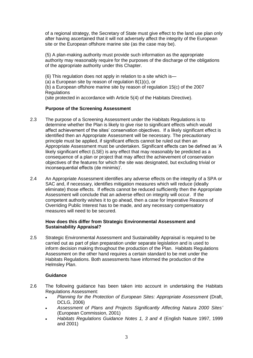of a regional strategy, the Secretary of State must give effect to the land use plan only after having ascertained that it will not adversely affect the integrity of the European site or the European offshore marine site (as the case may be).

(5) A plan-making authority must provide such information as the appropriate authority may reasonably require for the purposes of the discharge of the obligations of the appropriate authority under this Chapter.

(6) This regulation does not apply in relation to a site which is—

(a) a European site by reason of regulation 8(1)(c), or

(b) a European offshore marine site by reason of regulation 15(c) of the 2007 **Requlations** 

(site protected in accordance with Article 5(4) of the Habitats Directive).

# **Purpose of the Screening Assessment**

- 2.3 The purpose of a Screening Assessment under the Habitats Regulations is to determine whether the Plan is likely to give rise to significant effects which would affect achievement of the sites' conservation objectives. If a likely significant effect is identified then an Appropriate Assessment will be necessary. The precautionary principle must be applied, if significant effects cannot be ruled out then an Appropriate Assessment must be undertaken. Significant effects can be defined as 'A likely significant effect (LSE) is any effect that may reasonably be predicted as a consequence of a plan or project that may affect the achievement of conservation objectives of the features for which the site was designated, but excluding trivial or inconsequential effects (de minimis)'.
- 2.4 An Appropriate Assessment identifies any adverse effects on the integrity of a SPA or SAC and, if necessary, identifies mitigation measures which will reduce (ideally eliminate) those effects. If effects cannot be reduced sufficiently then the Appropriate Assessment will conclude that an adverse effect on integrity will occur. If the competent authority wishes it to go ahead, then a case for Imperative Reasons of Overriding Public Interest has to be made, and any necessary compensatory measures will need to be secured.

# **How does this differ from Strategic Environmental Assessment and Sustainability Appraisal?**

2.5 Strategic Environmental Assessment and Sustainability Appraisal is required to be carried out as part of plan preparation under separate legislation and is used to inform decision making throughout the production of the Plan. Habitats Regulations Assessment on the other hand requires a certain standard to be met under the Habitats Regulations. Both assessments have informed the production of the Helmsley Plan.

# **Guidance**

- 2.6 The following guidance has been taken into account in undertaking the Habitats Regulations Assessment:
	- *Planning for the Protection of European Sites: Appropriate Assessment* (Draft, DCLG, 2006)
	- *Assessment of Plans and Projects Significantly Affecting Natura 2000 Sites'*  $\bullet$ (European Commission, 2001)
	- *Habitats Regulations Guidance Notes 1, 3 and 4* (English Nature 1997, 1999 and 2001)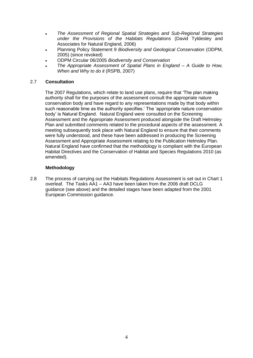- *The Assessment of Regional Spatial Strategies and Sub-Regional Strategies*   $\bullet$ *under the Provisions of the Habitats Regulations* (David Tyldesley and Associates for Natural England, 2006)
- Planning Policy Statement 9 *Biodiversity and Geological Conservation* (ODPM, 2005) (since revoked)
- ODPM Circular 06/2005 *Biodiversity and Conservation*
- *The Appropriate Assessment of Spatial Plans in England – A Guide to How, When and Why to do it* (RSPB, 2007)

# 2.7 **Consultation**

The 2007 Regulations, which relate to land use plans, require that 'The plan making authority shall for the purposes of the assessment consult the appropriate nature conservation body and have regard to any representations made by that body within such reasonable time as the authority specifies.' The 'appropriate nature conservation body' is Natural England. Natural England were consulted on the Screening Assessment and the Appropriate Assessment produced alongside the Draft Helmsley Plan and submitted comments related to the procedural aspects of the assessment. A meeting subsequently took place with Natural England to ensure that their comments were fully understood, and these have been addressed in producing the Screening Assessment and Appropriate Assessment relating to the Publication Helmsley Plan. Natural England have confirmed that the methodology is compliant with the European Habitat Directives and the Conservation of Habitat and Species Regulations 2010 (as amended).

# **Methodology**

2.8 The process of carrying out the Habitats Regulations Assessment is set out in Chart 1 overleaf. The Tasks AA1 – AA3 have been taken from the 2006 draft DCLG guidance (see above) and the detailed stages have been adapted from the 2001 European Commission guidance.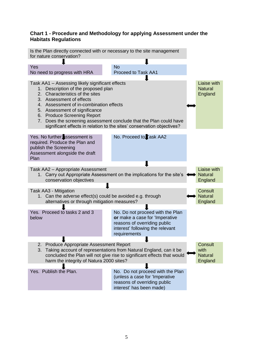# **Chart 1 - Procedure and Methodology for applying Assessment under the Habitats Regulations**

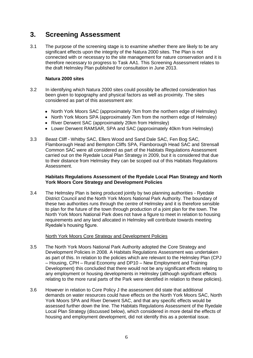# **3. Screening Assessment**

3.1 The purpose of the screening stage is to examine whether there are likely to be any significant effects upon the integrity of the Natura 2000 sites. The Plan is not connected with or necessary to the site management for nature conservation and it is therefore necessary to progress to Task AA1. This Screening Assessment relates to the draft Helmsley Plan published for consultation in June 2013.

# **Natura 2000 sites**

- 3.2 In identifying which Natura 2000 sites could possibly be affected consideration has been given to topography and physical factors as well as proximity. The sites considered as part of this assessment are:
	- North York Moors SAC (approximately 7km from the northern edge of Helmsley)
	- North York Moors SPA (approximately 7km from the northern edge of Helmsley)
	- River Derwent SAC (approximately 20km from Helmsley)
	- Lower Derwent RAMSAR, SPA and SAC (approximately 40km from Helmsley)
- 3.3 Beast Cliff Whitby SAC, Ellers Wood and Sand Dale SAC, Fen Bog SAC, Flamborough Head and Bempton Cliffs SPA, Flamborough Head SAC and Strensall Common SAC were all considered as part of the Habitats Regulations Assessment carried out on the Ryedale Local Plan Strategy in 2009, but it is considered that due to their distance from Helmsley they can be scoped out of this Habitats Regulations Assessment.

# **Habitats Regulations Assessment of the Ryedale Local Plan Strategy and North York Moors Core Strategy and Development Policies**

3.4 The Helmsley Plan is being produced jointly by two planning authorities - Ryedale District Council and the North York Moors National Park Authority. The boundary of these two authorities runs through the centre of Helmsley and it is therefore sensible to plan for the future of the town through production of a joint plan for the town. The North York Moors National Park does not have a figure to meet in relation to housing requirements and any land allocated in Helmsley will contribute towards meeting Ryedale's housing figure.

# North York Moors Core Strategy and Development Policies

- 3.5 The North York Moors National Park Authority adopted the Core Strategy and Development Policies in 2008. A Habitats Regulations Assessment was undertaken as part of this. In relation to the policies which are relevant to the Helmsley Plan (CPJ – Housing, CPH – Rural Economy and DP10 – New Employment and Training Development) this concluded that there would not be any significant effects relating to any employment or housing developments in Helmsley (although significant effects relating to the more rural parts of the Park were identified in relation to these policies).
- 3.6 However in relation to Core Policy J the assessment did state that additional demands on water resources could have effects on the North York Moors SAC, North York Moors SPA and River Derwent SAC, and that any specific effects would be assessed further down the line. The Habitats Regulations Assessment of the Ryedale Local Plan Strategy (discussed below), which considered in more detail the effects of housing and employment development, did not identify this as a potential issue.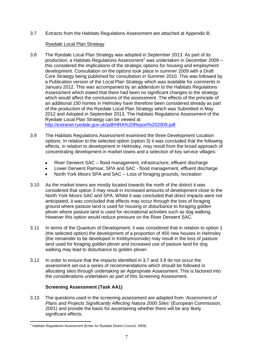3.7 Extracts from the Habitats Regulations Assessment are attached at Appendix B.

# Ryedale Local Plan Strategy

3.8 The Ryedale Local Plan Strategy was adopted in September 2013. As part of its production, a Habitats Regulations Assessment<sup>2</sup> was undertaken in December 2009 – this considered the implications of the strategic options for housing and employment development. Consultation on the options took place in summer 2009 with a Draft Core Strategy being published for consultation in Summer 2010. This was followed by a Publication version of the Local Plan Strategy which was available for comments in January 2012. This was accompanied by an addendum to the Habitats Regulations Assessment which stated that there had been no significant changes to the strategy which would affect the conclusions of the assessment. The effects of the principle of an additional 150 homes in Helmsley have therefore been considered already as part of the production of the Ryedale Local Plan Strategy which was Submitted in May 2012 and Adopted in September 2013. The Habitats Regulations Assessment of the Ryedale Local Plan Strategy can be viewed at

[http://extranet.ryedale.gov.uk/pdf/HRA%20Report%202009.pdf.](http://extranet.ryedale.gov.uk/pdf/HRA%20Report%202009.pdf)

- 3.9 The Habitats Regulations Assessment examined the three Development Location options. In relation to the selected option (option 3) it was concluded that the following effects, in relation to development in Helmsley, may result from the broad approach of concentrating development in market towns and a selection of key service villages:
	- River Derwent SAC flood management, infrastructure, effluent discharge  $\bullet$
	- Lower Derwent Ramsar, SPA and SAC flood management, effluent discharge
	- North York Moors SPA and SAC Loss of foraging grounds, recreation
- 3.10 As the market towns are mostly located towards the north of the district it was considered that option 3 may result in increased amounts of development close to the North York Moors SAC and SPA. Whilst it was concluded that direct impacts were not anticipated, it was concluded that effects may occur through the loss of foraging ground where pasture land is used for housing or disturbance to foraging golden plover where pasture land is used for recreational activities such as dog walking. However this option would reduce pressure on the River Derwent SAC.
- 3.11 In terms of the Quantum of Development, it was considered that in relation to option 1 (the selected option) the development of a proportion of 450 new houses in Helmsley (the remainder to be developed in Kirkbymoorside) may result in the loss of pasture land used for foraging golden plover and increased use of pasture land for dog walking may lead to disturbance to golden plover.
- 3.12 In order to ensure that the impacts identified in 3.7 and 3.8 do not occur the assessment set out a series of recommendations which should be followed in allocating sites through undertaking an Appropriate Assessment. This is factored into the considerations undertaken as part of this Screening Assessment.

# **Screening Assessment (Task AA1)**

3.13 The questions used in the screening assessment are adapted from '*Assessment of Plans and Projects Significantly Affecting Natura 2000 Sites'* (European Commission, 2001) and provide the basis for ascertaining whether there will be any likely significant effects.

 $\overline{a}$  $2$  Habitats Regulations Assessment (Entec for Ryedale District Council, 2009)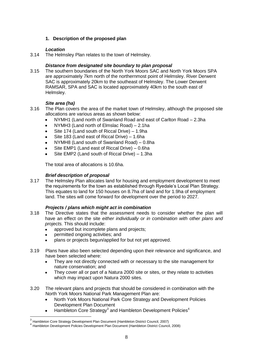# **1. Description of the proposed plan**

# *Location*

3.14 The Helmsley Plan relates to the town of Helmsley.

# *Distance from designated site boundary to plan proposal*

3.15 The southern boundaries of the North York Moors SAC and North York Moors SPA are approximately 7km north of the northernmost point of Helmsley. River Derwent SAC is approximately 20km to the southeast of Helmsley. The Lower Derwent RAMSAR, SPA and SAC is located approximately 40km to the south east of Helmsley.

# *Site area (ha)*

- 3.16 The Plan covers the area of the market town of Helmsley, although the proposed site allocations are various areas as shown below:
	- NYMH1 (Land north of Swanland Road and east of Carlton Road 2.3ha
	- NYMH3 (Land north of Elmslac Road) 2.1ha
	- Site 174 (Land south of Riccal Drive) 1.9ha
	- Site 183 (Land east of Riccal Drive) 1.6ha  $\bullet$
	- NYMH8 (Land south of Swanland Road) 0.8ha
	- Site EMP1 (Land east of Riccal Drive) 0.6ha
	- Site EMP2 (Land south of Riccal Drive) 1.3ha

The total area of allocations is 10.6ha.

# *Brief description of proposal*

3.17 The Helmsley Plan allocates land for housing and employment development to meet the requirements for the town as established through Ryedale's Local Plan Strategy. This equates to land for 150 houses on 8.7ha of land and for 1.9ha of employment land. The sites will come forward for development over the period to 2027.

# *Projects / plans which might act in combination*

- 3.18 The Directive states that the assessment needs to consider whether the plan will have an effect on the site *either individually or in combination with other plans and projects.* This should include:
	- approved but incomplete plans and projects;
	- permitted ongoing activities; and

- plans or projects begun/applied for but not yet approved.
- 3.19 Plans have also been selected depending upon their relevance and significance, and have been selected where:
	- They are not directly connected with or necessary to the site management for nature conservation; and
	- They cover all or part of a Natura 2000 site or sites, or they relate to activities  $\bullet$ which may impact upon Natura 2000 sites.
- 3.20 The relevant plans and projects that should be considered in combination with the North York Moors National Park Management Plan are:
	- North York Moors National Park Core Strategy and Development Policies Development Plan Document
	- Hambleton Core Strategy<sup>3</sup> and Hambleton Development Policies<sup>4</sup>

<sup>&</sup>lt;sup>3</sup> Hambleton Core Strategy Development Plan Document (Hambleton District Council, 2007)

<sup>4</sup> Hambleton Development Policies Development Plan Document (Hambleton District Council, 2008)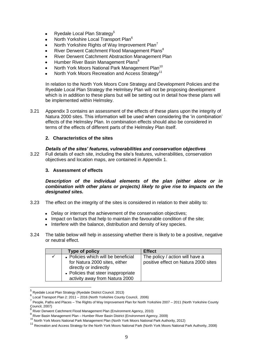- Ryedale Local Plan Strategy<sup>5</sup>  $\bullet$
- North Yorkshire Local Transport Plan<sup>6</sup>
- North Yorkshire Rights of Way Improvement Plan<sup>7</sup>
- River Derwent Catchment Flood Management Plans<sup>8</sup>  $\blacksquare$
- River Derwent Catchment Abstraction Management Plan
- Humber River Basin Management Plans<sup>9</sup>
- North York Moors National Park Management Plan<sup>10</sup>
- North York Moors Recreation and Access Strategy<sup>11</sup>

In relation to the North York Moors Core Strategy and Development Policies and the Ryedale Local Plan Strategy the Helmlsey Plan will not be proposing development which is in addition to these plans but will be setting out in detail how these plans will be implemented within Helmsley.

3.21 Appendix 3 contains an assessment of the effects of these plans upon the integrity of Natura 2000 sites. This information will be used when considering the 'in combination' effects of the Helmsley Plan. In combination effects should also be considered in terms of the effects of different parts of the Helmsley Plan itself.

# **2. Characteristics of the sites**

## *Details of the sites' features, vulnerabilities and conservation objectives*

3.22 Full details of each site, including the site's features, vulnerabilities, conservation objectives and location maps, are contained in Appendix 1.

# **3. Assessment of effects**

*Description of the individual elements of the plan (either alone or in combination with other plans or projects) likely to give rise to impacts on the designated sites.*

- 3.23 The effect on the integrity of the sites is considered in relation to their ability to:
	- Delay or interrupt the achievement of the conservation objectives:
	- Impact on factors that help to maintain the favourable condition of the site;
	- Interfere with the balance, distribution and density of key species.
- 3.24 The table below will help in assessing whether there is likely to be a positive, negative or neutral effect.

| Type of policy                                                                                 | <b>Effect</b>                                                           |
|------------------------------------------------------------------------------------------------|-------------------------------------------------------------------------|
| • Policies which will be beneficial<br>for Natura 2000 sites, either<br>directly or indirectly | The policy / action will have a<br>positive effect on Natura 2000 sites |
| • Policies that steer inappropriate<br>activity away from Natura 2000                          |                                                                         |

<sup>&</sup>lt;sup>5</sup> Ryedale Local Plan Strategy (Ryedale District Council. 2013)

<sup>6&</sup>lt;br>Execute Transport Plan 2: 2011 – 2016 (North Yorkshire County Council, 2006)<br>C Results Rather and Ricecs - The Rights of Way because as a Nach Next Next

People, Paths and Places – The Rights of Way Improvement Plan for North Yorkshire 2007 – 2011 (North Yorkshire County Council, 2007)

<sup>8</sup> River Derwent Catchment Flood Management Plan (Environment Agency, 2010)

<sup>9</sup> River Basin Management Plan – Humber River Basin District (Environment Agency, 2009)

<sup>10</sup> North York Moors National Park Management Plan (North York Moors National Park Authority, 2012)

<sup>&</sup>lt;sup>11</sup> Recreation and Access Strategy for the North York Moors National Park (North York Moors National Park Authority, 2008)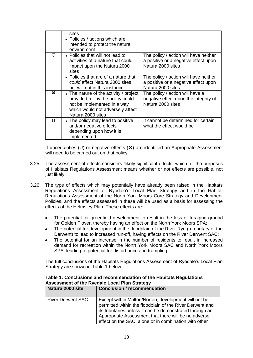|    | sites<br>• Policies / actions which are<br>intended to protect the natural<br>environment                                                                          |                                                                                                    |
|----|--------------------------------------------------------------------------------------------------------------------------------------------------------------------|----------------------------------------------------------------------------------------------------|
| () | • Policies that will not lead to<br>activities of a nature that could<br>impact upon the Natura 2000<br>sites                                                      | The policy / action will have neither<br>a positive or a negative effect upon<br>Natura 2000 sites |
|    | • Policies that are of a nature that<br>could affect Natura 2000 sites<br>but will not in this instance                                                            | The policy / action will have neither<br>a positive or a negative effect upon<br>Natura 2000 sites |
| ×  | • The nature of the activity / project<br>provided for by the policy could<br>not be implemented in a way<br>which would not adversely affect<br>Natura 2000 sites | The policy / action will have a<br>negative effect upon the integrity of<br>Natura 2000 sites      |
| Ħ  | • The policy may lead to positive<br>and/or negative effects<br>depending upon how it is<br>implemented                                                            | It cannot be determined for certain<br>what the effect would be                                    |

If uncertainties (U) or negative effects  $(\star)$  are identified an Appropriate Assessment will need to be carried out on that policy.

- 3.25 The assessment of effects considers 'likely significant effects' which for the purposes of Habitats Regulations Assessment means whether or not effects are possible, not just likely.
- 3.26 The type of effects which may potentially have already been raised in the Habitats Regulations Assessment of Ryedale's Local Plan Strategy and in the Habitat Regulations Assessment of the North York Moors Core Strategy and Development Policies, and the effects assessed in these will be used as a basis for assessing the effects of the Helmsley Plan. These effects are:
	- The potential for greenfield development to result in the loss of foraging ground  $\bullet$ for Golden Plover, thereby having an effect on the North York Moors SPA;
	- The potential for development in the floodplain of the River Rye (a tributary of the Derwent) to lead to increased run-off, having effects on the River Derwent SAC;
	- The potential for an increase in the number of residents to result in increased demand for recreation within the North York Moors SAC and North York Moors SPA, leading to potential for disturbance and trampling.

The full conclusions of the Habitats Regulations Assessment of Ryedale's Local Plan Strategy are shown in Table 1 below.

| Natura 2000 site         | <b>Conclusion / recommendation</b>                                                                                                                                                                                                                                                            |
|--------------------------|-----------------------------------------------------------------------------------------------------------------------------------------------------------------------------------------------------------------------------------------------------------------------------------------------|
| <b>River Derwent SAC</b> | Except within Malton/Norton, development will not be<br>permitted within the floodplain of the River Derwent and<br>its tributaries unless it can be demonstrated through an<br>Appropriate Assessment that there will be no adverse<br>effect on the SAC, alone or in combination with other |

#### **Table 1: Conclusions and recommendation of the Habitats Regulations Assessment of the Ryedale Local Plan Strategy**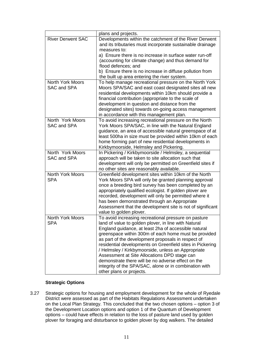|                                        | plans and projects.                                                                                                                                                                                                                                                                                                                                                                                                                                                                                                                                                                               |
|----------------------------------------|---------------------------------------------------------------------------------------------------------------------------------------------------------------------------------------------------------------------------------------------------------------------------------------------------------------------------------------------------------------------------------------------------------------------------------------------------------------------------------------------------------------------------------------------------------------------------------------------------|
| <b>River Derwent SAC</b>               | Developments within the catchment of the River Derwent<br>and its tributaries must incorporate sustainable drainage<br>measures to:<br>a) Ensure there is no increase in surface water run-off                                                                                                                                                                                                                                                                                                                                                                                                    |
|                                        | (accounting for climate change) and thus demand for<br>flood defences; and                                                                                                                                                                                                                                                                                                                                                                                                                                                                                                                        |
|                                        | b) Ensure there is no increase in diffuse pollution from                                                                                                                                                                                                                                                                                                                                                                                                                                                                                                                                          |
|                                        | the built up area entering the river system.                                                                                                                                                                                                                                                                                                                                                                                                                                                                                                                                                      |
| <b>North York Moors</b><br>SAC and SPA | To help manage recreational pressure on the North York<br>Moors SPA/SAC and east coast designated sites all new<br>residential developments within 10km should provide a<br>financial contribution (appropriate to the scale of<br>development in question and distance from the<br>designated sites) towards on-going access management<br>in accordance with this management plan.                                                                                                                                                                                                              |
| North York Moors<br>SAC and SPA        | To avoid increasing recreational pressure on the North<br>York Moors SPA/SAC, in line with the Natural England<br>guidance, an area of accessible natural greenspace of at<br>least 500ha in size must be provided within 10km of each<br>home forming part of new residential developments in<br>Kirkbymoorside, Helmsley and Pickering.                                                                                                                                                                                                                                                         |
| North York Moors<br><b>SAC and SPA</b> | In Pickering / Kirkbymoorside / Helmsley, a sequential<br>approach will be taken to site allocation such that<br>development will only be permitted on Greenfield sites if<br>no other sites are reasonably available.                                                                                                                                                                                                                                                                                                                                                                            |
| <b>North York Moors</b><br><b>SPA</b>  | Greenfield development sites within 10km of the North<br>York Moors SPA will only be granted planning approval<br>once a breeding bird survey has been completed by an<br>appropriately qualified ecologist. If golden plover are<br>recorded, development will only be permitted where it<br>has been demonstrated through an Appropriate<br>Assessment that the development site is not of significant<br>value to golden plover.                                                                                                                                                               |
| North York Moors<br>SPA                | To avoid increasing recreational pressure on pasture<br>land of value to golden plover, in line with Natural<br>England guidance, at least 2ha of accessible natural<br>greenspace within 300m of each home must be provided<br>as part of the development proposals in respect of<br>residential developments on Greenfield sites in Pickering<br>/ Helmsley / Kirkbymoorside, unless an Appropriate<br>Assessment at Site Allocations DPD stage can<br>demonstrate there will be no adverse effect on the<br>integrity of the SPA/SAC, alone or in combination with<br>other plans or projects. |

# **Strategic Options**

3.27 Strategic options for housing and employment development for the whole of Ryedale District were assessed as part of the Habitats Regulations Assessment undertaken on the Local Plan Strategy. This concluded that the two chosen options – option 3 of the Development Location options and option 1 of the Quantum of Development options – could have effects in relation to the loss of pasture land used by golden plover for foraging and disturbance to golden plover by dog walkers. The detailed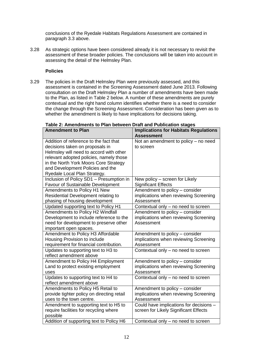conclusions of the Ryedale Habitats Regulations Assessment are contained in paragraph 3.3 above.

3.28 As strategic options have been considered already it is not necessary to revisit the assessment of these broader policies. The conclusions will be taken into account in assessing the detail of the Helmsley Plan.

# **Policies**

3.29 The policies in the Draft Helmsley Plan were previously assessed, and this assessment is contained in the Screening Assessment dated June 2013. Following consultation on the Draft Helmsley Plan a number of amendments have been made to the Plan, as listed in Table 2 below. A number of these amendments are purely contextual and the right hand column identifies whether there is a need to consider the change through the Screening Assessment. Consideration has been given as to whether the amendment is likely to have implications for decisions taking.

**Table 2: Amendments to Plan between Draft and Publication stages**

| <b>Amendment to Plan</b>                   | <b>Implications for Habitats Regulations</b><br><b>Assessment</b> |
|--------------------------------------------|-------------------------------------------------------------------|
| Addition of reference to the fact that     | Not an amendment to policy - no need                              |
| decisions taken on proposals in            | to screen                                                         |
| Helmsley will need to accord with other    |                                                                   |
| relevant adopted policies, namely those    |                                                                   |
| in the North York Moors Core Strategy      |                                                                   |
| and Development Policies and the           |                                                                   |
| Ryedale Local Plan Strategy.               |                                                                   |
| Inclusion of Policy SD1 - Presumption in   | New policy - screen for Likely                                    |
| Favour of Sustainable Development          | <b>Significant Effects</b>                                        |
| Amendments to Policy H1 New                | Amendment to policy - consider                                    |
| Residential Development relating to        | implications when reviewing Screening                             |
| phasing of housing development             | Assessment                                                        |
| Updated supporting text to Policy H1       | Contextual only – no need to screen                               |
| Amendments to Policy H2 Windfall           | Amendment to policy - consider                                    |
| Development to include reference to the    | implications when reviewing Screening                             |
| need for development to preserve other     | Assessment                                                        |
| important open spaces.                     |                                                                   |
| Amendment to Policy H3 Affordable          | Amendment to policy - consider                                    |
| Housing Provision to include               | implications when reviewing Screening                             |
| requirement for financial contribution.    | Assessment                                                        |
| Updates to supporting text to H3 to        | Contextual only - no need to screen                               |
| reflect amendment above                    |                                                                   |
| Amendment to Policy H4 Employment          | Amendment to policy - consider                                    |
| Land to protect existing employment        | implications when reviewing Screening                             |
| uses                                       | Assessment                                                        |
| Updates to supporting text to H4 to        | Contextual only - no need to screen                               |
| reflect amendment above                    |                                                                   |
| Amendments to Policy H5 Retail to          | Amendment to policy - consider                                    |
| provide tighter policy on directing retail | implications when reviewing Screening                             |
| uses to the town centre.                   | Assessment                                                        |
| Amendment to supporting text to H5 to      | Could have implications for decisions -                           |
| require facilities for recycling where     | screen for Likely Significant Effects                             |
| possible                                   |                                                                   |
| Addition of supporting text to Policy H6   | Contextual only – no need to screen                               |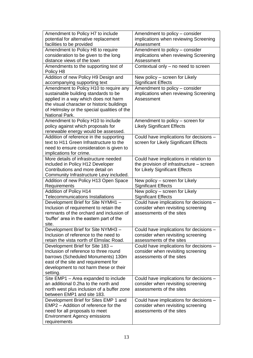| Amendment to Policy H7 to include                                            | Amendment to policy - consider                                 |
|------------------------------------------------------------------------------|----------------------------------------------------------------|
| potential for alternative replacement                                        | implications when reviewing Screening                          |
| facilities to be provided                                                    | Assessment                                                     |
| Amendment to Policy H8 to require                                            | Amendment to policy - consider                                 |
| consideration to be given to the long                                        | implications when reviewing Screening                          |
| distance views of the town                                                   | Assessment                                                     |
| Amendments to the supporting text of                                         | Contextual only - no need to screen                            |
| Policy H <sub>8</sub>                                                        |                                                                |
| Addition of new Policy H9 Design and                                         | New policy – screen for Likely                                 |
| accompanying supporting text                                                 | <b>Significant Effects</b>                                     |
| Amendment to Policy H10 to require any                                       | Amendment to policy - consider                                 |
| sustainable building standards to be                                         | implications when reviewing Screening                          |
| applied in a way which does not harm                                         | Assessment                                                     |
| the visual character or historic buildings                                   |                                                                |
| of Helmsley or the special qualities of the<br>National Park.                |                                                                |
| Amendment to Policy H10 to include                                           | Amendment to policy - screen for                               |
| policy against which proposals for                                           | <b>Likely Significant Effects</b>                              |
| renewable energy would be assessed.                                          |                                                                |
| Addition of reference in the supporting                                      | Could have implications for decisions -                        |
| text to H11 Green Infrastructure to the                                      | screen for Likely Significant Effects                          |
| need to ensure consideration is given to                                     |                                                                |
| implications for crime.                                                      |                                                                |
| More details of infrastructure needed                                        | Could have implications in relation to                         |
| included in Policy H12 Developer                                             | the provision of infrastructure - screen                       |
| Contributions and more detail on                                             | for Likely Significant Effects                                 |
| Community Infrastructure Levy included.                                      |                                                                |
|                                                                              |                                                                |
| Addition of new Policy H13 Open Space                                        | New policy - screen for Likely                                 |
| Requirements                                                                 | <b>Significant Effects</b>                                     |
| Addition of Policy H14                                                       | New policy - screen for Likely                                 |
| <b>Telecommunications Installations</b>                                      | <b>Significant Effects</b>                                     |
| Development Brief for Site NYMH1 -                                           | Could have implications for decisions -                        |
| Inclusion of requirement to retain the                                       | consider when revisiting screening                             |
| remnants of the orchard and inclusion of                                     | assessments of the sites                                       |
| 'buffer' area in the eastern part of the                                     |                                                                |
| site.                                                                        |                                                                |
| Development Brief for Site NYMH3 -                                           | Could have implications for decisions -                        |
| Inclusion of reference to the need to                                        | consider when revisiting screening                             |
| retain the vista north of Elmslac Road.                                      | assessments of the sites                                       |
| Development Brief for Site 183 -                                             | Could have implications for decisions -                        |
| Inclusion of reference to three round                                        | consider when revisiting screening                             |
| barrows (Scheduled Monuments) 130m                                           | assessments of the sites                                       |
| east of the site and requirement for                                         |                                                                |
| development to not harm these or their                                       |                                                                |
| setting.                                                                     |                                                                |
| Site EMP1 - Area expanded to include<br>an additional 0.2ha to the north and | Could have implications for decisions -                        |
| north west plus inclusion of a buffer zone                                   | consider when revisiting screening<br>assessments of the sites |
| between EMP1 and site 183.                                                   |                                                                |
| Development Brief for Sites EMP 1 and                                        | Could have implications for decisions -                        |
| EMP2 - Addition of reference for the                                         | consider when revisiting screening                             |
| need for all proposals to meet                                               | assessments of the sites                                       |
| <b>Environment Agency emissions</b><br>requirements                          |                                                                |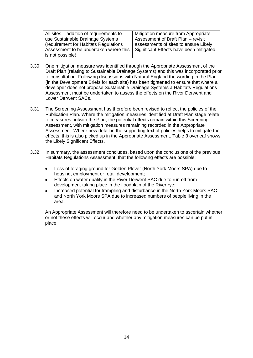| All sites – addition of requirements to | Mitigation measure from Appropriate      |
|-----------------------------------------|------------------------------------------|
|                                         |                                          |
| use Sustainable Drainage Systems        | Assessment of Draft Plan - revisit       |
| (requirement for Habitats Regulations)  | assessments of sites to ensure Likely    |
| Assessment to be undertaken where this  | Significant Effects have been mitigated. |
| is not possible)                        |                                          |

- 3.30 One mitigation measure was identified through the Appropriate Assessment of the Draft Plan (relating to Sustainable Drainage Systems) and this was incorporated prior to consultation. Following discussions with Natural England the wording in the Plan (in the Development Briefs for each site) has been tightened to ensure that where a developer does not propose Sustainable Drainage Systems a Habitats Regulations Assessment must be undertaken to assess the effects on the River Derwent and Lower Derwent SACs.
- 3.31 The Screening Assessment has therefore been revised to reflect the policies of the Publication Plan. Where the mitigation measures identified at Draft Plan stage relate to measures outwith the Plan, the potential effects remain within this Screening Assessment, with mitigation measures remaining recorded in the Appropriate Assessment. Where new detail in the supporting text of policies helps to mitigate the effects, this is also picked up in the Appropriate Assessment. Table 3 overleaf shows the Likely Significant Effects.
- 3.32 In summary, the assessment concludes, based upon the conclusions of the previous Habitats Regulations Assessment, that the following effects are possible:
	- Loss of foraging ground for Golden Plover (North York Moors SPA) due to  $\bullet$ housing, employment or retail development;
	- Effects on water quality in the River Derwent SAC due to run-off from development taking place in the floodplain of the River rye;
	- Increased potential for trampling and disturbance in the North York Moors SAC and North York Moors SPA due to increased numbers of people living in the area.

An Appropriate Assessment will therefore need to be undertaken to ascertain whether or not these effects will occur and whether any mitigation measures can be put in place.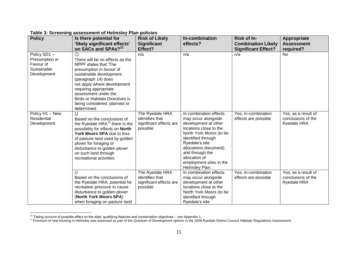| <b>Policy</b>                                                            | Is there potential for                                                                                                                                                                                                                                                                                    | <b>Risk of Likely</b>                                                     | In-combination                                                                                                                                                                                                                                                                | Risk of In-                                 | Appropriate                                                     |
|--------------------------------------------------------------------------|-----------------------------------------------------------------------------------------------------------------------------------------------------------------------------------------------------------------------------------------------------------------------------------------------------------|---------------------------------------------------------------------------|-------------------------------------------------------------------------------------------------------------------------------------------------------------------------------------------------------------------------------------------------------------------------------|---------------------------------------------|-----------------------------------------------------------------|
|                                                                          | 'likely significant effects'                                                                                                                                                                                                                                                                              | <b>Significant</b>                                                        | effects?                                                                                                                                                                                                                                                                      | <b>Combination Likely</b>                   | <b>Assessment</b>                                               |
|                                                                          | on SACs and SPAs? <sup>12</sup>                                                                                                                                                                                                                                                                           | Effect?                                                                   |                                                                                                                                                                                                                                                                               | <b>Significant Effect?</b>                  | required?                                                       |
| Policy SD1-<br>Presumption in<br>Favour of<br>Sustainable<br>Development | Ο<br>There will be no effects as the<br>NPPF states that 'The<br>presumption in favour of<br>sustainable development<br>(paragraph 14) does<br>not apply where development<br>requiring appropriate<br>assessment under the<br><b>Birds or Habitats Directives is</b><br>being considered, planned or     | n/a                                                                       | n/a                                                                                                                                                                                                                                                                           | n/a                                         | No.                                                             |
| Policy H1 - New<br>Residential<br>Development                            | determined.'<br>U<br>Based on the conclusions of<br>the Ryedale $HRA^{13}$ there is the<br>possibility for effects on North<br>York Moors SPA due to loss<br>of pasture land used by golden<br>plover for foraging or<br>disturbance to golden plover<br>on such land through<br>recreational activities. | The Ryedale HRA<br>identifies that<br>significant effects are<br>possible | In combination effects<br>may occur alongside<br>development at other<br>locations close to the<br>North York Moors (to be<br>identified through<br>Ryedale's site<br>allocations document).<br>and through the<br>allocation of<br>employment sites in the<br>Helmsley Plan. | Yes, in-combination<br>effects are possible | Yes, as a result of<br>conclusions of the<br><b>Ryedale HRA</b> |
|                                                                          | $\mathbf{U}$<br>Based on the conclusions of<br>the Ryedale HRA, potential for<br>recreation pressure to cause<br>disturbance to golden plover<br>(North York Moors SPA)<br>when foraging on pasture land                                                                                                  | The Ryedale HRA<br>identifies that<br>significant effects are<br>possible | In combination effects<br>may occur alongside<br>development at other<br>locations close to the<br>North York Moors (to be<br>identified through<br>Ryedale's site                                                                                                            | Yes, in-combination<br>effects are possible | Yes, as a result of<br>conclusions of the<br><b>Ryedale HRA</b> |

**Table 3: Screening assessment of Helmsley Plan policies**

 $\overline{a}$  $12$  Taking account of possible effect on the sites' qualifying features and conservation objectives – see Appendix 1.

<sup>&</sup>lt;sup>13</sup> Provision of new housing in Helmsley was assessed as part of the Quantum of Development options in the 2009 Ryedale District Council Habitats Regulations Assessment.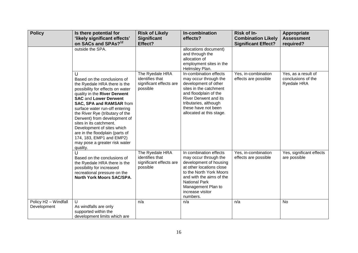| <b>Policy</b>                       | Is there potential for<br>'likely significant effects'<br>on SACs and SPAs? <sup>12</sup>                                                                                                                                                                                                                                                                                                                                                                                         | <b>Risk of Likely</b><br><b>Significant</b><br>Effect?                    | In-combination<br>effects?                                                                                                                                                                                                                 | Risk of In-<br><b>Combination Likely</b><br><b>Significant Effect?</b> | Appropriate<br><b>Assessment</b><br>required?            |
|-------------------------------------|-----------------------------------------------------------------------------------------------------------------------------------------------------------------------------------------------------------------------------------------------------------------------------------------------------------------------------------------------------------------------------------------------------------------------------------------------------------------------------------|---------------------------------------------------------------------------|--------------------------------------------------------------------------------------------------------------------------------------------------------------------------------------------------------------------------------------------|------------------------------------------------------------------------|----------------------------------------------------------|
|                                     | outside the SPA.                                                                                                                                                                                                                                                                                                                                                                                                                                                                  |                                                                           | allocations document)<br>and through the<br>allocation of<br>employment sites in the<br>Helmsley Plan.                                                                                                                                     |                                                                        |                                                          |
|                                     | U<br>Based on the conclusions of<br>the Ryedale HRA there is the<br>possibility for effects on water<br>quality in the River Derwent<br><b>SAC and Lower Derwent</b><br><b>SAC, SPA and RAMSAR from</b><br>surface water run-off entering<br>the River Rye (tributary of the<br>Derwent) from development of<br>sites in its catchment.<br>Development of sites which<br>are in the floodplain (parts of<br>174, 183, EMP1 and EMP2)<br>may pose a greater risk water<br>quality. | The Ryedale HRA<br>identifies that<br>significant effects are<br>possible | In-combination effects<br>may occur through the<br>development of other<br>sites in the catchment<br>and floodplain of the<br><b>River Derwent and its</b><br>tributaries, although<br>these have not been<br>allocated at this stage.     | Yes, in-combination<br>effects are possible                            | Yes, as a result of<br>conclusions of the<br>Ryedale HRA |
|                                     | U<br>Based on the conclusions of<br>the Ryedale HRA there is the<br>possibility for increased<br>recreational pressure on the<br><b>North York Moors SAC/SPA.</b>                                                                                                                                                                                                                                                                                                                 | The Ryedale HRA<br>identifies that<br>significant effects are<br>possible | In combination effects<br>may occur through the<br>development of housing<br>at other locations close<br>to the North York Moors<br>and with the aims of the<br><b>National Park</b><br>Management Plan to<br>increase visitor<br>numbers. | Yes, in-combination<br>effects are possible                            | Yes, significant effects<br>are possible                 |
| Policy H2 - Windfall<br>Development | U<br>As windfalls are only<br>supported within the<br>development limits which are                                                                                                                                                                                                                                                                                                                                                                                                | n/a                                                                       | n/a                                                                                                                                                                                                                                        | n/a                                                                    | No                                                       |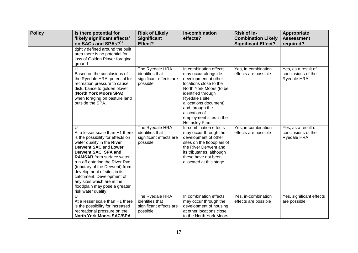| <b>Policy</b> | Is there potential for<br>'likely significant effects'<br>on SACs and SPAs? <sup>12</sup>                                                                                                                                                                                                                                                                                                                                  | <b>Risk of Likely</b><br><b>Significant</b><br>Effect?                    | In-combination<br>effects?                                                                                                                                                                                                                                                   | Risk of In-<br><b>Combination Likely</b><br><b>Significant Effect?</b> | Appropriate<br><b>Assessment</b><br>required?            |
|---------------|----------------------------------------------------------------------------------------------------------------------------------------------------------------------------------------------------------------------------------------------------------------------------------------------------------------------------------------------------------------------------------------------------------------------------|---------------------------------------------------------------------------|------------------------------------------------------------------------------------------------------------------------------------------------------------------------------------------------------------------------------------------------------------------------------|------------------------------------------------------------------------|----------------------------------------------------------|
|               | tightly defined around the built<br>area there is no potential for<br>loss of Golden Plover foraging<br>ground.                                                                                                                                                                                                                                                                                                            |                                                                           |                                                                                                                                                                                                                                                                              |                                                                        |                                                          |
|               | $\mathbf{U}$<br>Based on the conclusions of<br>the Ryedale HRA, potential for<br>recreation pressure to cause<br>disturbance to golden plover<br>(North York Moors SPA)<br>when foraging on pasture land<br>outside the SPA.                                                                                                                                                                                               | The Ryedale HRA<br>identifies that<br>significant effects are<br>possible | In combination effects<br>may occur alongside<br>development at other<br>locations close to the<br>North York Moors (to be<br>identified through<br>Ryedale's site<br>allocations document)<br>and through the<br>allocation of<br>employment sites in the<br>Helmsley Plan. | Yes, in-combination<br>effects are possible                            | Yes, as a result of<br>conclusions of the<br>Ryedale HRA |
|               | U<br>At a lesser scale than H1 there<br>is the possibility for effects on<br>water quality in the River<br><b>Derwent SAC and Lower</b><br>Derwent SAC, SPA and<br><b>RAMSAR</b> from surface water<br>run-off entering the River Rye<br>(tributary of the Derwent) from<br>development of sites in its<br>catchment. Development of<br>any sites which are in the<br>floodplain may pose a greater<br>risk water quality. | The Ryedale HRA<br>identifies that<br>significant effects are<br>possible | In-combination effects<br>may occur through the<br>development of other<br>sites on the floodplain of<br>the River Derwent and<br>its tributaries, although<br>these have not been<br>allocated at this stage.                                                               | Yes, in-combination<br>effects are possible                            | Yes, as a result of<br>conclusions of the<br>Ryedale HRA |
|               | $\cup$<br>At a lesser scale than H1 there<br>is the possibility for increased<br>recreational pressure on the<br><b>North York Moors SAC/SPA.</b>                                                                                                                                                                                                                                                                          | The Ryedale HRA<br>identifies that<br>significant effects are<br>possible | In combination effects<br>may occur through the<br>development of housing<br>at other locations close<br>to the North York Moors                                                                                                                                             | Yes, in-combination<br>effects are possible                            | Yes, significant effects<br>are possible                 |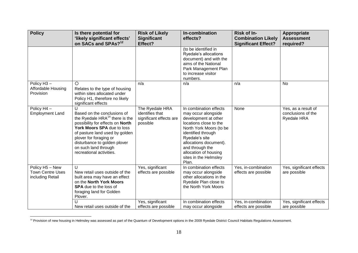| <b>Policy</b>                                                  | Is there potential for<br>'likely significant effects'<br>on SACs and SPAs? <sup>12</sup>                                                                                                                                                                                               | <b>Risk of Likely</b><br><b>Significant</b><br>Effect?                    | In-combination<br>effects?                                                                                                                                                                                                                                                 | <b>Risk of In-</b><br><b>Combination Likely</b><br><b>Significant Effect?</b> | Appropriate<br><b>Assessment</b><br>required?            |
|----------------------------------------------------------------|-----------------------------------------------------------------------------------------------------------------------------------------------------------------------------------------------------------------------------------------------------------------------------------------|---------------------------------------------------------------------------|----------------------------------------------------------------------------------------------------------------------------------------------------------------------------------------------------------------------------------------------------------------------------|-------------------------------------------------------------------------------|----------------------------------------------------------|
|                                                                |                                                                                                                                                                                                                                                                                         |                                                                           | (to be identified in<br>Ryedale's allocations<br>document) and with the<br>aims of the National<br>Park Management Plan<br>to increase visitor<br>numbers.                                                                                                                 |                                                                               |                                                          |
| Policy H <sub>3</sub> -<br>Affordable Housing<br>Provision     | $\circ$<br>Relates to the type of housing<br>within sites allocated under<br>Policy H1, therefore no likely<br>significant effects                                                                                                                                                      | n/a                                                                       | n/a                                                                                                                                                                                                                                                                        | n/a                                                                           | No                                                       |
| Policy H4 -<br><b>Employment Land</b>                          | U<br>Based on the conclusions of<br>the Ryedale HRA $14$ there is the<br>possibility for effects on North<br>York Moors SPA due to loss<br>of pasture land used by golden<br>plover for foraging or<br>disturbance to golden plover<br>on such land through<br>recreational activities. | The Ryedale HRA<br>identifies that<br>significant effects are<br>possible | In combination effects<br>may occur alongside<br>development at other<br>locations close to the<br>North York Moors (to be<br>identified through<br>Ryedale's site<br>allocations document).<br>and through the<br>allocation of housing<br>sites in the Helmsley<br>Plan. | None                                                                          | Yes, as a result of<br>conclusions of the<br>Ryedale HRA |
| Policy H5 - New<br><b>Town Centre Uses</b><br>including Retail | U<br>New retail uses outside of the<br>built area may have an effect<br>on the North York Moors<br><b>SPA</b> due to the loss of<br>foraging land for Golden<br>Plover.                                                                                                                 | Yes, significant<br>effects are possible                                  | In combination effects<br>may occur alongside<br>other allocations in the<br>Ryedale Plan close to<br>the North York Moors                                                                                                                                                 | Yes, in-combination<br>effects are possible                                   | Yes, significant effects<br>are possible                 |
|                                                                | U<br>New retail uses outside of the                                                                                                                                                                                                                                                     | Yes, significant<br>effects are possible                                  | In combination effects<br>may occur alongside                                                                                                                                                                                                                              | Yes, in-combination<br>effects are possible                                   | Yes, significant effects<br>are possible                 |

<sup>&</sup>lt;sup>14</sup> Provision of new housing in Helmsley was assessed as part of the Quantum of Development options in the 2009 Ryedale District Council Habitats Regulations Assessment.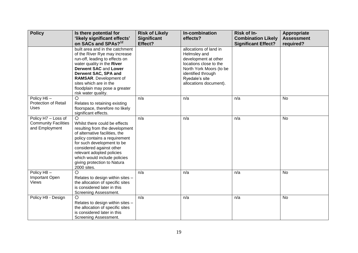| <b>Policy</b>                                                        | Is there potential for<br>'likely significant effects'                                                                                                                                                                                                                                                             | <b>Risk of Likely</b><br><b>Significant</b> | In-combination<br>effects?                                                                                                                                                            | Risk of In-<br><b>Combination Likely</b> | Appropriate<br><b>Assessment</b> |
|----------------------------------------------------------------------|--------------------------------------------------------------------------------------------------------------------------------------------------------------------------------------------------------------------------------------------------------------------------------------------------------------------|---------------------------------------------|---------------------------------------------------------------------------------------------------------------------------------------------------------------------------------------|------------------------------------------|----------------------------------|
|                                                                      | on SACs and SPAs? <sup>12</sup><br>built area and in the catchment<br>of the River Rye may increase<br>run-off, leading to effects on<br>water quality in the River<br><b>Derwent SAC and Lower</b><br>Derwent SAC, SPA and<br>RAMSAR. Development of<br>sites which are in the<br>floodplain may pose a greater   | Effect?                                     | allocations of land in<br>Helmsley and<br>development at other<br>locations close to the<br>North York Moors (to be<br>identified through<br>Ryedale's site<br>allocations document). | <b>Significant Effect?</b>               | required?                        |
| Policy H6-                                                           | risk water quality.                                                                                                                                                                                                                                                                                                | n/a                                         | n/a                                                                                                                                                                                   | n/a                                      | <b>No</b>                        |
| <b>Protection of Retail</b><br>Uses                                  | $\circ$<br>Relates to retaining existing<br>floorspace, therefore no likely<br>significant effects.                                                                                                                                                                                                                |                                             |                                                                                                                                                                                       |                                          |                                  |
| Policy H7 - Loss of<br><b>Community Facilities</b><br>and Employment | $\circ$<br>Whilst there could be effects<br>resulting from the development<br>of alternative facilities, the<br>policy contains a requirement<br>for such development to be<br>considered against other<br>relevant adopted policies<br>which would include policies<br>giving protection to Natura<br>2000 sites. | n/a                                         | n/a                                                                                                                                                                                   | n/a                                      | <b>No</b>                        |
| Policy H8-<br>Important Open<br><b>Views</b>                         | $\circ$<br>Relates to design within sites -<br>the allocation of specific sites<br>is considered later in this<br>Screening Assessment.                                                                                                                                                                            | n/a                                         | n/a                                                                                                                                                                                   | n/a                                      | No                               |
| Policy H9 - Design                                                   | $\circ$<br>Relates to design within sites -<br>the allocation of specific sites<br>is considered later in this<br>Screening Assessment.                                                                                                                                                                            | n/a                                         | n/a                                                                                                                                                                                   | n/a                                      | <b>No</b>                        |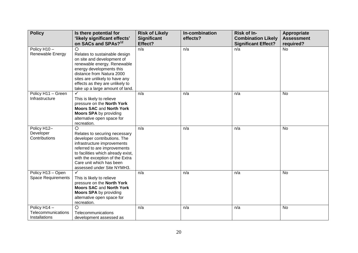| <b>Policy</b>             | Is there potential for<br>'likely significant effects'             | <b>Risk of Likely</b><br><b>Significant</b> | In-combination<br>effects? | Risk of In-<br><b>Combination Likely</b> | Appropriate<br><b>Assessment</b> |
|---------------------------|--------------------------------------------------------------------|---------------------------------------------|----------------------------|------------------------------------------|----------------------------------|
|                           | on SACs and SPAs? <sup>12</sup>                                    | Effect?                                     |                            | <b>Significant Effect?</b>               | required?                        |
| Policy H10-               | $\circ$                                                            | n/a                                         | n/a                        | n/a                                      | <b>No</b>                        |
| Renewable Energy          | Relates to sustainable design                                      |                                             |                            |                                          |                                  |
|                           | on site and development of                                         |                                             |                            |                                          |                                  |
|                           | renewable energy. Renewable                                        |                                             |                            |                                          |                                  |
|                           | energy developments this<br>distance from Natura 2000              |                                             |                            |                                          |                                  |
|                           | sites are unlikely to have any                                     |                                             |                            |                                          |                                  |
|                           | effects as they are unlikely to                                    |                                             |                            |                                          |                                  |
|                           | take up a large amount of land.                                    |                                             |                            |                                          |                                  |
| Policy H11 - Green        |                                                                    | n/a                                         | n/a                        | n/a                                      | <b>No</b>                        |
| Infrastructure            | This is likely to relieve                                          |                                             |                            |                                          |                                  |
|                           | pressure on the North York                                         |                                             |                            |                                          |                                  |
|                           | <b>Moors SAC and North York</b><br><b>Moors SPA by providing</b>   |                                             |                            |                                          |                                  |
|                           | alternative open space for                                         |                                             |                            |                                          |                                  |
|                           | recreation.                                                        |                                             |                            |                                          |                                  |
| Policy H12-               | $\circ$                                                            | n/a                                         | n/a                        | n/a                                      | No                               |
| Developer                 | Relates to securing necessary                                      |                                             |                            |                                          |                                  |
| Contributions             | developer contributions. The                                       |                                             |                            |                                          |                                  |
|                           | infrastructure improvements                                        |                                             |                            |                                          |                                  |
|                           | referred to are improvements<br>to facilities which already exist, |                                             |                            |                                          |                                  |
|                           | with the exception of the Extra                                    |                                             |                            |                                          |                                  |
|                           | Care unit which has been                                           |                                             |                            |                                          |                                  |
|                           | assessed under Site NYMH3.                                         |                                             |                            |                                          |                                  |
| Policy H13 - Open         | $\checkmark$                                                       | n/a                                         | n/a                        | n/a                                      | No                               |
| <b>Space Requirements</b> | This is likely to relieve                                          |                                             |                            |                                          |                                  |
|                           | pressure on the North York                                         |                                             |                            |                                          |                                  |
|                           | <b>Moors SAC and North York</b><br><b>Moors SPA by providing</b>   |                                             |                            |                                          |                                  |
|                           | alternative open space for                                         |                                             |                            |                                          |                                  |
|                           | recreation.                                                        |                                             |                            |                                          |                                  |
| Policy H14-               | $\circ$                                                            | n/a                                         | n/a                        | n/a                                      | <b>No</b>                        |
| Telecommunications        | Telecommunications                                                 |                                             |                            |                                          |                                  |
| Installations             | development assessed as                                            |                                             |                            |                                          |                                  |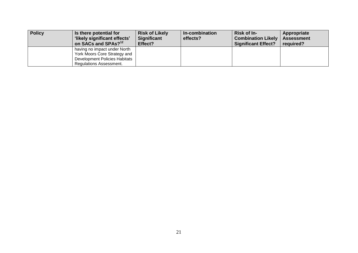| <b>Policy</b> | Is there potential for<br>'likely significant effects'<br>on SACs and SPAs? <sup>12</sup>                                              | <b>Risk of Likely</b><br><b>Significant</b><br>Effect? | In-combination<br>effects? | <b>Risk of In-</b><br><b>Combination Likely</b><br><b>Significant Effect?</b> | Appropriate<br><b>Assessment</b><br>required? |
|---------------|----------------------------------------------------------------------------------------------------------------------------------------|--------------------------------------------------------|----------------------------|-------------------------------------------------------------------------------|-----------------------------------------------|
|               | having no impact under North<br>York Moors Core Strategy and<br><b>Development Policies Habitats</b><br><b>Regulations Assessment.</b> |                                                        |                            |                                                                               |                                               |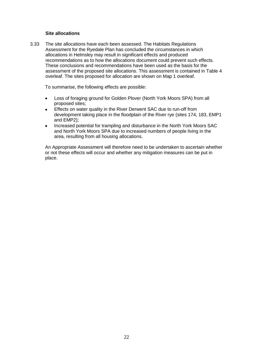#### **Site allocations**

3.33 The site allocations have each been assessed. The Habitats Regulations Assessment for the Ryedale Plan has concluded the circumstances in which allocations in Helmsley may result in significant effects and produced recommendations as to how the allocations document could prevent such effects. These conclusions and recommendations have been used as the basis for the assessment of the proposed site allocations. This assessment is contained in Table 4 overleaf. The sites proposed for allocation are shown on Map 1 overleaf.

To summarise, the following effects are possible:

- Loss of foraging ground for Golden Plover (North York Moors SPA) from all  $\bullet$ proposed sites;
- Effects on water quality in the River Derwent SAC due to run-off from  $\bullet$ development taking place in the floodplain of the River rye (sites 174, 183, EMP1 and EMP2);
- Increased potential for trampling and disturbance in the North York Moors SAC  $\bullet$ and North York Moors SPA due to increased numbers of people living in the area, resulting from all housing allocations.

An Appropriate Assessment will therefore need to be undertaken to ascertain whether or not these effects will occur and whether any mitigation measures can be put in place.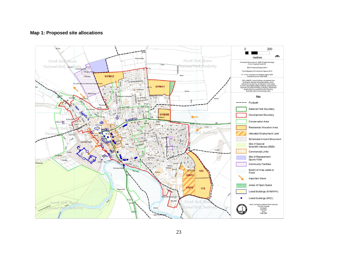#### **Map 1: Proposed site allocations**

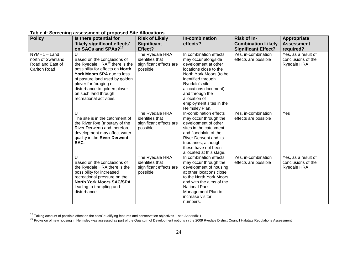| <b>Policy</b>                                                                | Is there potential for<br>'likely significant effects'<br>on SACs and SPAs? <sup>15</sup>                                                                                                                                                                                                        | <b>Risk of Likely</b><br><b>Significant</b><br>Effect?                    | In-combination<br>effects?                                                                                                                                                                                                                                                    | Risk of In-<br><b>Combination Likely</b>                                  | Appropriate<br><b>Assessment</b><br>required?                   |
|------------------------------------------------------------------------------|--------------------------------------------------------------------------------------------------------------------------------------------------------------------------------------------------------------------------------------------------------------------------------------------------|---------------------------------------------------------------------------|-------------------------------------------------------------------------------------------------------------------------------------------------------------------------------------------------------------------------------------------------------------------------------|---------------------------------------------------------------------------|-----------------------------------------------------------------|
| NYMH1 - Land<br>north of Swanland<br>Road and East of<br><b>Carlton Road</b> | U<br>Based on the conclusions of<br>the Ryedale HRA <sup>16</sup> there is the<br>possibility for effects on North<br>York Moors SPA due to loss<br>of pasture land used by golden<br>plover for foraging or<br>disturbance to golden plover<br>on such land through<br>recreational activities. | The Ryedale HRA<br>identifies that<br>significant effects are<br>possible | In combination effects<br>may occur alongside<br>development at other<br>locations close to the<br>North York Moors (to be<br>identified through<br>Ryedale's site<br>allocations document).<br>and through the<br>allocation of<br>employment sites in the<br>Helmsley Plan. | <b>Significant Effect?</b><br>Yes, in-combination<br>effects are possible | Yes, as a result of<br>conclusions of the<br><b>Ryedale HRA</b> |
|                                                                              | $\mathbf{U}$<br>The site is in the catchment of<br>the River Rye (tributary of the<br>River Derwent) and therefore<br>development may affect water<br>quality in the River Derwent<br>SAC.                                                                                                       | The Ryedale HRA<br>identifies that<br>significant effects are<br>possible | In-combination effects<br>may occur through the<br>development of other<br>sites in the catchment<br>and floodplain of the<br><b>River Derwent and its</b><br>tributaries, although<br>these have not been<br>allocated at this stage.                                        | Yes, in-combination<br>effects are possible                               | Yes                                                             |
|                                                                              | U<br>Based on the conclusions of<br>the Ryedale HRA there is the<br>possibility for increased<br>recreational pressure on the<br><b>North York Moors SAC/SPA</b><br>leading to trampling and<br>disturbance.                                                                                     | The Ryedale HRA<br>identifies that<br>significant effects are<br>possible | In combination effects<br>may occur through the<br>development of housing<br>at other locations close<br>to the North York Moors<br>and with the aims of the<br><b>National Park</b><br>Management Plan to<br>increase visitor<br>numbers.                                    | Yes, in-combination<br>effects are possible                               | Yes, as a result of<br>conclusions of the<br><b>Ryedale HRA</b> |

**Table 4: Screening assessment of proposed Site Allocations**

<sup>&</sup>lt;sup>15</sup> Taking account of possible effect on the sites' qualifying features and conservation objectives – see Appendix 1.

<sup>&</sup>lt;sup>16</sup> Provision of new housing in Helmsley was assessed as part of the Quantum of Development options in the 2009 Ryedale District Council Habitats Regulations Assessment.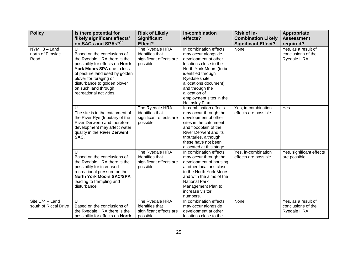| <b>Policy</b>                            | Is there potential for<br>'likely significant effects'<br>on SACs and SPAs? <sup>15</sup>                                                                                                                                                                                          | <b>Risk of Likely</b><br><b>Significant</b><br>Effect?                    | In-combination<br>effects?                                                                                                                                                                                                                                                    | Risk of In-<br><b>Combination Likely</b><br><b>Significant Effect?</b> | <b>Appropriate</b><br><b>Assessment</b><br>required?            |
|------------------------------------------|------------------------------------------------------------------------------------------------------------------------------------------------------------------------------------------------------------------------------------------------------------------------------------|---------------------------------------------------------------------------|-------------------------------------------------------------------------------------------------------------------------------------------------------------------------------------------------------------------------------------------------------------------------------|------------------------------------------------------------------------|-----------------------------------------------------------------|
| NYMH3 - Land<br>north of Elmslac<br>Road | U<br>Based on the conclusions of<br>the Ryedale HRA there is the<br>possibility for effects on North<br>York Moors SPA due to loss<br>of pasture land used by golden<br>plover for foraging or<br>disturbance to golden plover<br>on such land through<br>recreational activities. | The Ryedale HRA<br>identifies that<br>significant effects are<br>possible | In combination effects<br>may occur alongside<br>development at other<br>locations close to the<br>North York Moors (to be<br>identified through<br>Ryedale's site<br>allocations document).<br>and through the<br>allocation of<br>employment sites in the<br>Helmsley Plan. | None                                                                   | Yes, as a result of<br>conclusions of the<br>Ryedale HRA        |
|                                          | U<br>The site is in the catchment of<br>the River Rye (tributary of the<br>River Derwent) and therefore<br>development may affect water<br>quality in the River Derwent<br>SAC.                                                                                                    | The Ryedale HRA<br>identifies that<br>significant effects are<br>possible | In-combination effects<br>may occur through the<br>development of other<br>sites in the catchment<br>and floodplain of the<br><b>River Derwent and its</b><br>tributaries, although<br>these have not been<br>allocated at this stage.                                        | Yes, in-combination<br>effects are possible                            | Yes                                                             |
|                                          | $\mathbf{U}$<br>Based on the conclusions of<br>the Ryedale HRA there is the<br>possibility for increased<br>recreational pressure on the<br><b>North York Moors SAC/SPA</b><br>leading to trampling and<br>disturbance.                                                            | The Ryedale HRA<br>identifies that<br>significant effects are<br>possible | In combination effects<br>may occur through the<br>development of housing<br>at other locations close<br>to the North York Moors<br>and with the aims of the<br><b>National Park</b><br>Management Plan to<br>increase visitor<br>numbers.                                    | Yes, in-combination<br>effects are possible                            | Yes, significant effects<br>are possible                        |
| Site 174 - Land<br>south of Riccal Drive | $\cup$<br>Based on the conclusions of<br>the Ryedale HRA there is the<br>possibility for effects on North                                                                                                                                                                          | The Ryedale HRA<br>identifies that<br>significant effects are<br>possible | In combination effects<br>may occur alongside<br>development at other<br>locations close to the                                                                                                                                                                               | None                                                                   | Yes, as a result of<br>conclusions of the<br><b>Ryedale HRA</b> |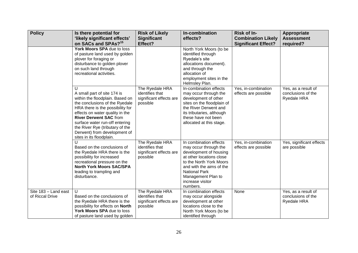| <b>Policy</b>                                                                                                                                                              | Is there potential for<br>'likely significant effects'<br>on SACs and SPAs? <sup>15</sup>                                                                                                                                                                                                                                                      | <b>Risk of Likely</b><br><b>Significant</b><br>Effect?                    | In-combination<br>effects?                                                                                                                                                                                                                 | Risk of In-<br><b>Combination Likely</b><br><b>Significant Effect?</b> | Appropriate<br><b>Assessment</b><br>required?                   |
|----------------------------------------------------------------------------------------------------------------------------------------------------------------------------|------------------------------------------------------------------------------------------------------------------------------------------------------------------------------------------------------------------------------------------------------------------------------------------------------------------------------------------------|---------------------------------------------------------------------------|--------------------------------------------------------------------------------------------------------------------------------------------------------------------------------------------------------------------------------------------|------------------------------------------------------------------------|-----------------------------------------------------------------|
| York Moors SPA due to loss<br>of pasture land used by golden<br>plover for foraging or<br>disturbance to golden plover<br>on such land through<br>recreational activities. |                                                                                                                                                                                                                                                                                                                                                |                                                                           | North York Moors (to be<br>identified through<br>Ryedale's site<br>allocations document).<br>and through the<br>allocation of<br>employment sites in the<br>Helmsley Plan.                                                                 |                                                                        |                                                                 |
|                                                                                                                                                                            | U<br>A small part of site 174 is<br>within the floodplain. Based on<br>the conclusions of the Ryedale<br>HRA there is the possibility for<br>effects on water quality in the<br><b>River Derwent SAC from</b><br>surface water run-off entering<br>the River Rye (tributary of the<br>Derwent) from development of<br>sites in its floodplain. | The Ryedale HRA<br>identifies that<br>significant effects are<br>possible | In-combination effects<br>may occur through the<br>development of other<br>sites on the floodplain of<br>the River Derwent and<br>its tributaries, although<br>these have not been<br>allocated at this stage.                             | Yes, in-combination<br>effects are possible                            | Yes, as a result of<br>conclusions of the<br><b>Ryedale HRA</b> |
|                                                                                                                                                                            | $\mathbf{I}$<br>Based on the conclusions of<br>the Ryedale HRA there is the<br>possibility for increased<br>recreational pressure on the<br><b>North York Moors SAC/SPA</b><br>leading to trampling and<br>disturbance.                                                                                                                        | The Ryedale HRA<br>identifies that<br>significant effects are<br>possible | In combination effects<br>may occur through the<br>development of housing<br>at other locations close<br>to the North York Moors<br>and with the aims of the<br><b>National Park</b><br>Management Plan to<br>increase visitor<br>numbers. | Yes, in-combination<br>effects are possible                            | Yes, significant effects<br>are possible                        |
| Site 183 - Land east<br>of Riccal Drive                                                                                                                                    | U<br>Based on the conclusions of<br>the Ryedale HRA there is the<br>possibility for effects on North<br>York Moors SPA due to loss<br>of pasture land used by golden                                                                                                                                                                           | The Ryedale HRA<br>identifies that<br>significant effects are<br>possible | In combination effects<br>may occur alongside<br>development at other<br>locations close to the<br>North York Moors (to be<br>identified through                                                                                           | None                                                                   | Yes, as a result of<br>conclusions of the<br>Ryedale HRA        |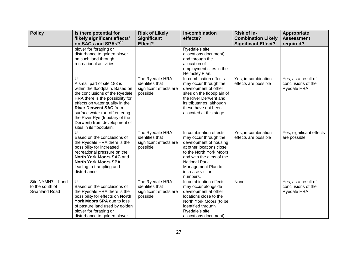| <b>Policy</b>                                                                                              | Is there potential for<br>'likely significant effects'<br>on SACs and SPAs? <sup>15</sup>                                                                                                                                                                                                                                                                 | <b>Risk of Likely</b><br><b>Significant</b><br>Effect?                    | In-combination<br>effects?                                                                                                                                                                                                                 | Risk of In-<br><b>Combination Likely</b><br><b>Significant Effect?</b> | <b>Appropriate</b><br><b>Assessment</b><br>required?            |
|------------------------------------------------------------------------------------------------------------|-----------------------------------------------------------------------------------------------------------------------------------------------------------------------------------------------------------------------------------------------------------------------------------------------------------------------------------------------------------|---------------------------------------------------------------------------|--------------------------------------------------------------------------------------------------------------------------------------------------------------------------------------------------------------------------------------------|------------------------------------------------------------------------|-----------------------------------------------------------------|
| plover for foraging or<br>disturbance to golden plover<br>on such land through<br>recreational activities. |                                                                                                                                                                                                                                                                                                                                                           |                                                                           | Ryedale's site<br>allocations document).<br>and through the<br>allocation of<br>employment sites in the<br>Helmsley Plan.                                                                                                                  |                                                                        |                                                                 |
|                                                                                                            | $\mathbf{U}$<br>A small part of site 183 is<br>within the floodplain. Based on<br>the conclusions of the Ryedale<br>HRA there is the possibility for<br>effects on water quality in the<br><b>River Derwent SAC from</b><br>surface water run-off entering<br>the River Rye (tributary of the<br>Derwent) from development of<br>sites in its floodplain. | The Ryedale HRA<br>identifies that<br>significant effects are<br>possible | In-combination effects<br>may occur through the<br>development of other<br>sites on the floodplain of<br>the River Derwent and<br>its tributaries, although<br>these have not been<br>allocated at this stage.                             | Yes, in-combination<br>effects are possible                            | Yes, as a result of<br>conclusions of the<br><b>Ryedale HRA</b> |
|                                                                                                            | $\mathbf{U}$<br>The Ryedale HRA<br>identifies that<br>Based on the conclusions of<br>the Ryedale HRA there is the<br>significant effects are<br>possibility for increased<br>possible<br>recreational pressure on the<br>North York Moors SAC and<br><b>North York Moors SPA</b><br>leading to trampling and<br>disturbance.                              |                                                                           | In combination effects<br>may occur through the<br>development of housing<br>at other locations close<br>to the North York Moors<br>and with the aims of the<br><b>National Park</b><br>Management Plan to<br>increase visitor<br>numbers. | Yes, in-combination<br>effects are possible                            | Yes, significant effects<br>are possible                        |
| Site NYMH7 - Land<br>to the south of<br>Swanland Road                                                      | $\cup$<br>Based on the conclusions of<br>the Ryedale HRA there is the<br>possibility for effects on North<br>York Moors SPA due to loss<br>of pasture land used by golden<br>plover for foraging or<br>disturbance to golden plover                                                                                                                       | The Ryedale HRA<br>identifies that<br>significant effects are<br>possible | In combination effects<br>may occur alongside<br>development at other<br>locations close to the<br>North York Moors (to be<br>identified through<br>Ryedale's site<br>allocations document).                                               | None                                                                   | Yes, as a result of<br>conclusions of the<br><b>Ryedale HRA</b> |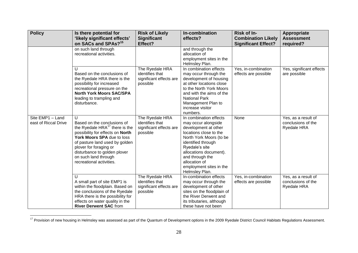| <b>Policy</b>                                                                                                                                                                                                | Is there potential for<br>'likely significant effects'<br>on SACs and SPAs? <sup>15</sup>                                                                                                                                                                                                 | <b>Risk of Likely</b><br><b>Significant</b><br>Effect?                                       | In-combination<br>effects?                                                                                                                                                                                                                                                    | Risk of In-<br><b>Combination Likely</b><br><b>Significant Effect?</b> | <b>Appropriate</b><br><b>Assessment</b><br>required?            |
|--------------------------------------------------------------------------------------------------------------------------------------------------------------------------------------------------------------|-------------------------------------------------------------------------------------------------------------------------------------------------------------------------------------------------------------------------------------------------------------------------------------------|----------------------------------------------------------------------------------------------|-------------------------------------------------------------------------------------------------------------------------------------------------------------------------------------------------------------------------------------------------------------------------------|------------------------------------------------------------------------|-----------------------------------------------------------------|
|                                                                                                                                                                                                              | on such land through<br>recreational activities.                                                                                                                                                                                                                                          |                                                                                              | and through the<br>allocation of<br>employment sites in the<br>Helmsley Plan.                                                                                                                                                                                                 |                                                                        |                                                                 |
| U<br>Based on the conclusions of<br>the Ryedale HRA there is the<br>possibility for increased<br>recreational pressure on the<br><b>North York Moors SAC/SPA</b><br>leading to trampling and<br>disturbance. |                                                                                                                                                                                                                                                                                           | The Ryedale HRA<br>identifies that<br>significant effects are<br>possible<br>The Ryedale HRA | In combination effects<br>may occur through the<br>development of housing<br>at other locations close<br>to the North York Moors<br>and with the aims of the<br><b>National Park</b><br>Management Plan to<br>increase visitor<br>numbers.                                    | Yes, in-combination<br>effects are possible                            | Yes, significant effects<br>are possible                        |
| Site EMP1 - Land<br>east of Riccal Drive                                                                                                                                                                     | U<br>Based on the conclusions of<br>the Ryedale $HRA^{17}$ there is the<br>possibility for effects on North<br>York Moors SPA due to loss<br>of pasture land used by golden<br>plover for foraging or<br>disturbance to golden plover<br>on such land through<br>recreational activities. |                                                                                              | In combination effects<br>may occur alongside<br>development at other<br>locations close to the<br>North York Moors (to be<br>identified through<br>Ryedale's site<br>allocations document).<br>and through the<br>allocation of<br>employment sites in the<br>Helmsley Plan. | None                                                                   | Yes, as a result of<br>conclusions of the<br><b>Ryedale HRA</b> |
|                                                                                                                                                                                                              | U<br>A small part of site EMP1 is<br>within the floodplain. Based on<br>the conclusions of the Ryedale<br>HRA there is the possibility for<br>effects on water quality in the<br><b>River Derwent SAC from</b>                                                                            | The Ryedale HRA<br>identifies that<br>significant effects are<br>possible                    | In-combination effects<br>may occur through the<br>development of other<br>sites on the floodplain of<br>the River Derwent and<br>its tributaries, although<br>these have not been                                                                                            | Yes, in-combination<br>effects are possible                            | Yes, as a result of<br>conclusions of the<br>Ryedale HRA        |

<sup>&</sup>lt;sup>17</sup> Provision of new housing in Helmsley was assessed as part of the Quantum of Development options in the 2009 Ryedale District Council Habitats Regulations Assessment.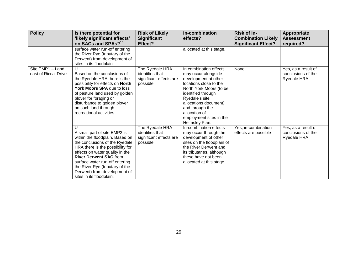| <b>Policy</b>                            | Is there potential for<br>'likely significant effects'<br>on SACs and SPAs? <sup>15</sup>                                                                                                                                                                                                                                                            | <b>Risk of Likely</b><br><b>Significant</b><br>Effect?                    | In-combination<br>effects?                                                                                                                                                                                                                                                    | Risk of In-<br><b>Combination Likely</b><br><b>Significant Effect?</b> | Appropriate<br><b>Assessment</b><br>required?            |
|------------------------------------------|------------------------------------------------------------------------------------------------------------------------------------------------------------------------------------------------------------------------------------------------------------------------------------------------------------------------------------------------------|---------------------------------------------------------------------------|-------------------------------------------------------------------------------------------------------------------------------------------------------------------------------------------------------------------------------------------------------------------------------|------------------------------------------------------------------------|----------------------------------------------------------|
|                                          | surface water run-off entering<br>the River Rye (tributary of the<br>Derwent) from development of<br>sites in its floodplain.                                                                                                                                                                                                                        |                                                                           | allocated at this stage.                                                                                                                                                                                                                                                      |                                                                        |                                                          |
| Site EMP1 - Land<br>east of Riccal Drive | U<br>Based on the conclusions of<br>the Ryedale HRA there is the<br>possibility for effects on North<br>York Moors SPA due to loss<br>of pasture land used by golden<br>plover for foraging or<br>disturbance to golden plover<br>on such land through<br>recreational activities.                                                                   | The Ryedale HRA<br>identifies that<br>significant effects are<br>possible | In combination effects<br>may occur alongside<br>development at other<br>locations close to the<br>North York Moors (to be<br>identified through<br>Ryedale's site<br>allocations document).<br>and through the<br>allocation of<br>employment sites in the<br>Helmsley Plan. | None                                                                   | Yes, as a result of<br>conclusions of the<br>Ryedale HRA |
|                                          | $\cup$<br>A small part of site EMP2 is<br>within the floodplain. Based on<br>the conclusions of the Ryedale<br>HRA there is the possibility for<br>effects on water quality in the<br><b>River Derwent SAC from</b><br>surface water run-off entering<br>the River Rye (tributary of the<br>Derwent) from development of<br>sites in its floodplain. | The Ryedale HRA<br>identifies that<br>significant effects are<br>possible | In-combination effects<br>may occur through the<br>development of other<br>sites on the floodplain of<br>the River Derwent and<br>its tributaries, although<br>these have not been<br>allocated at this stage.                                                                | Yes, in-combination<br>effects are possible                            | Yes, as a result of<br>conclusions of the<br>Ryedale HRA |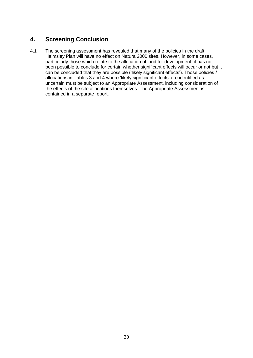# **4. Screening Conclusion**

4.1 The screening assessment has revealed that many of the policies in the draft Helmsley Plan will have no effect on Natura 2000 sites. However, in some cases, particularly those which relate to the allocation of land for development, it has not been possible to conclude for certain whether significant effects will occur or not but it can be concluded that they are possible ('likely significant effects'). Those policies / allocations in Tables 3 and 4 where 'likely significant effects' are identified as uncertain must be subject to an Appropriate Assessment, including consideration of the effects of the site allocations themselves. The Appropriate Assessment is contained in a separate report.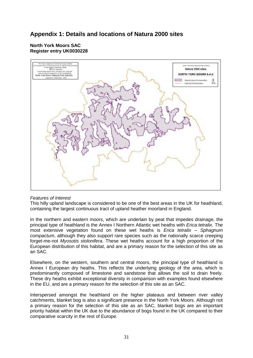# **Appendix 1: Details and locations of Natura 2000 sites**

# **North York Moors SAC Register entry UK0030228**



# *Features of Interest*

This hilly upland landscape is considered to be one of the best areas in the UK for heathland, containing the largest continuous tract of upland heather moorland in England.

In the northern and eastern moors, which are underlain by peat that impedes drainage, the principal type of heathland is the Annex I Northern Atlantic wet heaths with *Erica tetralix*. The most extensive vegetation found on these wet heaths is *Erica tetralix* – *Sphagnum compactum*, although they also support rare species such as the nationally scarce creeping forget-me-not *Myosotis stolonifera*. These wet heaths account for a high proportion of the European distribution of this habitat, and are a primary reason for the selection of this site as an SAC.

Elsewhere, on the western, southern and central moors, the principal type of heathland is Annex I European dry heaths. This reflects the underlying geology of the area, which is predominantly composed of limestone and sandstone that allows the soil to drain freely. These dry heaths exhibit exceptional diversity in comparison with examples found elsewhere in the EU, and are a primary reason for the selection of this site as an SAC.

Interspersed amongst the heathland on the higher plateaus and between river valley catchments, blanket bog is also a significant presence in the North York Moors. Although not a primary reason for the selection of this site as an SAC, blanket bogs are an important priority habitat within the UK due to the abundance of bogs found in the UK compared to their comparative scarcity in the rest of Europe.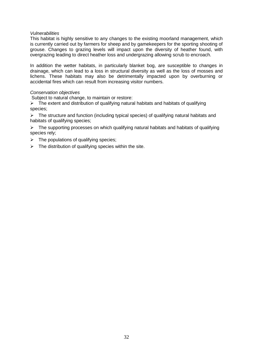#### *Vulnerabilities*

This habitat is highly sensitive to any changes to the existing moorland management, which is currently carried out by farmers for sheep and by gamekeepers for the sporting shooting of grouse. Changes to grazing levels will impact upon the diversity of heather found, with overgrazing leading to direct heather loss and undergrazing allowing scrub to encroach.

In addition the wetter habitats, in particularly blanket bog, are susceptible to changes in drainage, which can lead to a loss in structural diversity as well as the loss of mosses and lichens. These habitats may also be detrimentally impacted upon by overburning or accidental fires which can result from increasing visitor numbers.

# *Conservation objectives*

Subject to natural change, to maintain or restore:

 $\triangleright$  The extent and distribution of qualifying natural habitats and habitats of qualifying species;

 $\triangleright$  The structure and function (including typical species) of qualifying natural habitats and habitats of qualifying species;

 $\triangleright$  The supporting processes on which qualifying natural habitats and habitats of qualifying species rely;

- $\triangleright$  The populations of qualifying species;
- $\triangleright$  The distribution of qualifying species within the site.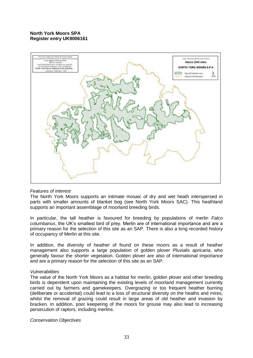# **North York Moors SPA Register entry UK9006161**



# *Features of Interest*

The North York Moors supports an intimate mosaic of dry and wet heath interspersed in parts with smaller amounts of blanket bog (see North York Moors SAC). This heathland supports an important assemblage of moorland breeding birds.

In particular, the tall heather is favoured for breeding by populations of merlin *Falco columbarius*, the UK's smallest bird of prey. Merlin are of international importance and are a primary reason for the selection of this site as an SAP. There is also a long recorded history of occupancy of Merlin at this site.

In addition, the diversity of heather of found on these moors as a result of heather management also supports a large population of golden plover *Pluvialis apricaria*, who generally favour the shorter vegetation. Golden plover are also of international importance and are a primary reason for the selection of this site as an SAP.

#### *Vulnerabilities*

The value of the North York Moors as a habitat for merlin, golden plover and other breeding birds is dependent upon maintaining the existing levels of moorland management currently carried out by farmers and gamekeepers. Overgrazing or too frequent heather burning (deliberate or accidental) could lead to a loss of structural diversity on the heaths and mires, whilst the removal of grazing could result in large areas of old heather and invasion by bracken. In addition, poor keepering of the moors for grouse may also lead to increasing persecution of raptors, including merlins.

# *Conservation Objectives*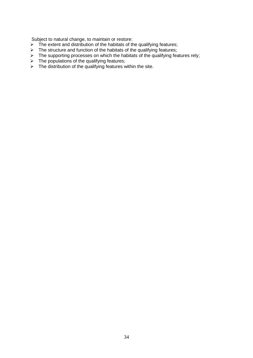Subject to natural change, to maintain or restore:

- $\triangleright$  The extent and distribution of the habitats of the qualifying features;
- $\triangleright$  The structure and function of the habitats of the qualifying features;
- $\triangleright$  The supporting processes on which the habitats of the qualifying features rely;
- $\triangleright$  The populations of the qualifying features;
- $\triangleright$  The distribution of the qualifying features within the site.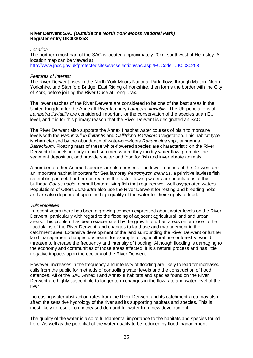## **River Derwent SAC** *(Outside the North York Moors National Park)* **Register entry UK0030253**

#### *Location*

The northern most part of the SAC is located approximately 20km southwest of Helmsley. A location map can be viewed at [http://www.jncc.gov.uk/protectedsites/sacselection/sac.asp?EUCode=UK0030253.](http://www.jncc.gov.uk/protectedsites/sacselection/sac.asp?EUCode=UK0030253)

## *Features of Interest*

The River Derwent rises in the North York Moors National Park, flows through Malton, North Yorkshire, and Stamford Bridge, East Riding of Yorkshire, then forms the border with the City of York, before joining the River Ouse at Long Drax.

The lower reaches of the River Derwent are considered to be one of the best areas in the United Kingdom for the Annex II River lamprey *Lampetra fluviatilis*. The UK populations of *Lampetra fluviatilis* are considered important for the conservation of the species at an EU level, and it is for this primary reason that the River Derwent is designated an SAC.

The River Derwent also supports the Annex I habitat water courses of plain to montane levels with the *Ranunculion fluitantis* and *Callitricho-Batrachion* vegetation. This habitat type is characterised by the abundance of water-crowfoots *Ranunculus* spp., subgenus *Batrachium*. Floating mats of these white-flowered species are characteristic on the River Derwent channels in early to mid-summer, where they modify water flow, promote fine sediment deposition, and provide shelter and food for fish and invertebrate animals.

A number of other Annex II species are also present. The lower reaches of the Derwent are an important habitat important for Sea lamprey *Petromyzon marinus*, a primitive jawless fish resembling an eel. Further upstream in the faster flowing waters are populations of the bullhead *Cottus gobio*, a small bottom living fish that requires well well-oxygenated waters. Populations of Otters *Lutra lutra* also use the River Derwent for resting and breeding holts, and are also dependent upon the high quality of the water for their supply of food.

#### *Vulnerabilities*

In recent years there has been a growing concern expressed about water levels on the River Derwent, particularly with regard to the flooding of adjacent agricultural land and urban areas. This problem has been exacerbated by the growth of urban areas on or close to the floodplains of the River Derwent, and changes to land use and management in the catchment area. Extensive development of the land surrounding the River Derwent or further land management changes upstream, for example for agricultural use or forestry, would threaten to increase the frequency and intensity of flooding. Although flooding is damaging to the economy and communities of those areas affected, it is a natural process and has little negative impacts upon the ecology of the River Derwent.

However, increases in the frequency and intensity of flooding are likely to lead for increased calls from the public for methods of controlling water levels and the construction of flood defences. All of the SAC Annex I and Annex II habitats and species found on the River Derwent are highly susceptible to longer term changes in the flow rate and water level of the river.

Increasing water abstraction rates from the River Derwent and its catchment area may also affect the sensitive hydrology of the river and its supporting habitats and species. This is most likely to result from increased demand for water from new development.

The quality of the water is also of fundamental importance to the habitats and species found here. As well as the potential of the water quality to be reduced by flood management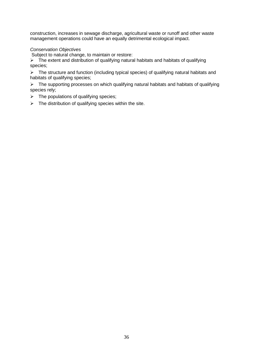construction, increases in sewage discharge, agricultural waste or runoff and other waste management operations could have an equally detrimental ecological impact.

# *Conservation Objectives*

Subject to natural change, to maintain or restore:<br>  $\triangleright$  The extent and distribution of qualifying natural

The extent and distribution of qualifying natural habitats and habitats of qualifying species;

The structure and function (including typical species) of qualifying natural habitats and habitats of qualifying species;

 $\triangleright$  The supporting processes on which qualifying natural habitats and habitats of qualifying species rely;

- $\triangleright$  The populations of qualifying species;
- $\triangleright$  The distribution of qualifying species within the site.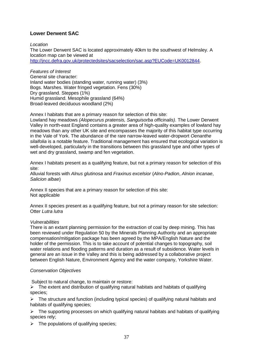# **Lower Derwent SAC**

*Location*

The Lower Derwent SAC is located approximately 40km to the southwest of Helmsley. A location map can be viewed at [http://jncc.defra.gov.uk/protectedsites/sacselection/sac.asp?EUCode=UK0012844.](http://jncc.defra.gov.uk/protectedsites/sacselection/sac.asp?EUCode=UK0012844)

*Features of Interest* General site character: Inland water bodies (standing water, running water) (3%) Bogs. Marshes. Water fringed vegetation. Fens (30%) Dry grassland. Steppes (1%) Humid grassland. Mesophile grassland (64%) Broad-leaved deciduous woodland (2%)

Annex I habitats that are a primary reason for selection of this site:

Lowland hay meadows *(Alopecurus pratensis, Sanguisorba officinalis).* The Lower Derwent Valley in north-east England contains a greater area of high-quality examples of lowland hay meadows than any other UK site and encompasses the majority of this habitat type occurring in the Vale of York. The abundance of the rare narrow-leaved water-dropwort *Oenanthe silaifolia* is a notable feature. Traditional management has ensured that ecological variation is well-developed, particularly in the transitions between this grassland type and other types of wet and dry grassland, swamp and fen vegetation.

Annex I habitats present as a qualifying feature, but not a primary reason for selection of this site:

Alluvial forests with *Alnus glutinosa* and *Fraxinus excelsior* (*Alno-Padion*, *Alnion incanae*, *Salicion albae*)

Annex II species that are a primary reason for selection of this site: Not applicable

Annex II species present as a qualifying feature, but not a primary reason for site selection: Otter *Lutra lutra*

#### *Vulnerabilities*

There is an extant planning permission for the extraction of coal by deep mining. This has been reviewed under Regulation 50 by the Minerals Planning Authority and an appropriate compensation/mitigation package has been agreed by the MPA/English Nature and the holder of the permission. This is to take account of potential changes to topography, soil water relations and flooding patterns and duration as a result of subsidence. Water levels in general are an issue in the Valley and this is being addressed by a collaborative project between English Nature, Environment Agency and the water company, Yorkshire Water.

#### *Conservation Objectives*

Subject to natural change, to maintain or restore:

 $\triangleright$  The extent and distribution of qualifying natural habitats and habitats of qualifying species;

 $\triangleright$  The structure and function (including typical species) of qualifying natural habitats and habitats of qualifying species;

 $\triangleright$  The supporting processes on which qualifying natural habitats and habitats of qualifying species rely;

 $\triangleright$  The populations of qualifying species;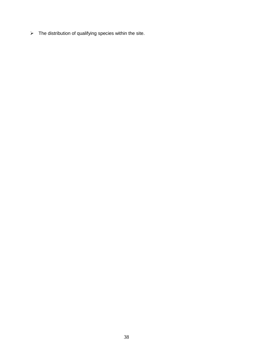$\triangleright$  The distribution of qualifying species within the site.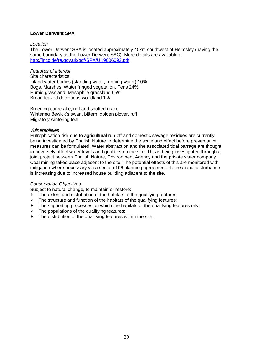## **Lower Derwent SPA**

#### *Location*

The Lower Derwent SPA is located approximately 40km southwest of Helmsley (having the same boundary as the Lower Derwent SAC). More details are available at [http://jncc.defra.gov.uk/pdf/SPA/UK9006092.pdf.](http://jncc.defra.gov.uk/pdf/SPA/UK9006092.pdf)

#### *Features of interest*

Site characteristics: Inland water bodies (standing water, running water) 10% Bogs. Marshes. Water fringed vegetation. Fens 24% Humid grassland. Mesophile grassland 65% Broad-leaved deciduous woodland 1%

Breeding conrcrake, ruff and spotted crake Wintering Bewick's swan, bittern, golden plover, ruff Migratory wintering teal

## *Vulnerabilities*

Eutrophication risk due to agricultural run-off and domestic sewage residues are currently being investigated by English Nature to determine the scale and effect before preventative measures can be formulated. Water abstraction and the associated tidal barrage are thought to adversely affect water levels and qualities on the site. This is being investigated through a joint project between English Nature, Environment Agency and the private water company. Coal mining takes place adjacent to the site. The potential effects of this are monitored with mitigation where necessary via a section 106 planning agreement. Recreational disturbance is increasing due to increased house building adjacent to the site.

# *Conservation Objectives*

Subject to natural change, to maintain or restore:

- $\triangleright$  The extent and distribution of the habitats of the qualifying features;
- $\triangleright$  The structure and function of the habitats of the qualifying features;
- $\triangleright$  The supporting processes on which the habitats of the qualifying features rely;
- $\triangleright$  The populations of the qualifying features;
- $\triangleright$  The distribution of the qualifying features within the site.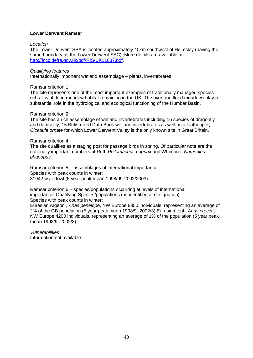## **Lower Derwent Ramsar**

#### *Location*

The Lower Derwent SPA is located approximately 40km southwest of Helmsley (having the same boundary as the Lower Derwent SAC). More details are available at [http://jncc.defra.gov.uk/pdf/RIS/UK11037.pdf.](http://jncc.defra.gov.uk/pdf/RIS/UK11037.pdf)

## *Qualifying features*

Internationally important wetland assemblage – plants, invertebrates

#### Ramsar criterion 1

The site represents one of the most important examples of traditionally managed speciesrich alluvial flood meadow habitat remaining in the UK. The river and flood meadows play a substantial role in the hydrological and ecological functioning of the Humber Basin.

## Ramsar criterion 2

The site has a rich assemblage of wetland invertebrates including 16 species of dragonfly and damselfly, 15 British Red Data Book wetland invertebrates as well as a leafhopper, *Cicadula ornate* for which Lower Derwent Valley is the only known site in Great Britain.

#### Ramsar criterion 4

The site qualifies as a staging post for passage birds in spring. Of particular note are the nationally important numbers of Ruff, *Philomachus pugnax* and Whimbrel, *Numenius phaeopus*.

Ramsar criterion 5 – assemblages of international importance: Species with peak counts in winter: 31942 waterfowl (5 year peak mean 1998/99-2002/2003)

Ramsar criterion 6 – species/populations occurring at levels of international importance. Qualifying Species/populations (as identified at designation): Species with peak counts in winter:

Eurasian wigeon , *Anas penelope*, NW Europe 8350 individuals, representing an average of 2% of the GB population (5 year peak mean 1998/9- 2002/3) Eurasian teal , *Anas crecca*, NW Europe 4200 individuals, representing an average of 1% of the population (5 year peak mean 1998/9- 2002/3)

*Vulnerabilities* Information not available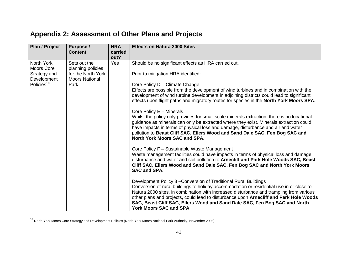# **Appendix 2: Assessment of Other Plans and Projects**

| <b>Plan / Project</b>                                                             | Purpose /<br><b>Content</b>                                                               | <b>HRA</b><br>carried<br>out? | <b>Effects on Natura 2000 Sites</b>                                                                                                                                                                                                                                                                                                                                                                                                                                                                                                                                                                                                                                                                                                                                                                                                     |
|-----------------------------------------------------------------------------------|-------------------------------------------------------------------------------------------|-------------------------------|-----------------------------------------------------------------------------------------------------------------------------------------------------------------------------------------------------------------------------------------------------------------------------------------------------------------------------------------------------------------------------------------------------------------------------------------------------------------------------------------------------------------------------------------------------------------------------------------------------------------------------------------------------------------------------------------------------------------------------------------------------------------------------------------------------------------------------------------|
| North York<br>Moors Core<br>Strategy and<br>Development<br>Policies <sup>18</sup> | Sets out the<br>planning policies<br>for the North York<br><b>Moors National</b><br>Park. | Yes                           | Should be no significant effects as HRA carried out.<br>Prior to mitigation HRA identified:<br>Core Policy D - Climate Change<br>Effects are possible from the development of wind turbines and in combination with the<br>development of wind turbine development in adjoining districts could lead to significant<br>effects upon flight paths and migratory routes for species in the North York Moors SPA.<br>Core Policy E - Minerals<br>Whilst the policy only provides for small scale minerals extraction, there is no locational<br>guidance as minerals can only be extracted where they exist. Minerals extraction could<br>have impacts in terms of physical loss and damage, disturbance and air and water<br>pollution to Beast Cliff SAC, Ellers Wood and Sand Dale SAC, Fen Bog SAC and                                 |
|                                                                                   |                                                                                           |                               | North York Moors SAC and SPA.<br>Core Policy F - Sustainable Waste Management<br>Waste management facilities could have impacts in terms of physical loss and damage,<br>disturbance and water and soil pollution to Arnecliff and Park Hole Woods SAC, Beast<br>Cliff SAC, Ellers Wood and Sand Dale SAC, Fen Bog SAC and North York Moors<br><b>SAC and SPA.</b><br>Development Policy 8 - Conversion of Traditional Rural Buildings<br>Conversion of rural buildings to holiday accommodation or residential use in or close to<br>Natura 2000 sites, in combination with increased disturbance and trampling from various<br>other plans and projects, could lead to disturbance upon Arnecliff and Park Hole Woods<br>SAC, Beast Cliff SAC, Ellers Wood and Sand Dale SAC, Fen Bog SAC and North<br><b>York Moors SAC and SPA.</b> |

<sup>&</sup>lt;sup>18</sup> North York Moors Core Strategy and Development Policies (North York Moors National Park Authority, November 2008)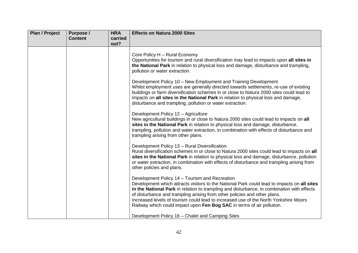| <b>Plan / Project</b> | Purpose /      | <b>HRA</b> | <b>Effects on Natura 2000 Sites</b>                                                                                                                                                                                                                                                                                                                                                                                                                                                        |
|-----------------------|----------------|------------|--------------------------------------------------------------------------------------------------------------------------------------------------------------------------------------------------------------------------------------------------------------------------------------------------------------------------------------------------------------------------------------------------------------------------------------------------------------------------------------------|
|                       | <b>Content</b> | carried    |                                                                                                                                                                                                                                                                                                                                                                                                                                                                                            |
|                       |                | out?       |                                                                                                                                                                                                                                                                                                                                                                                                                                                                                            |
|                       |                |            | Core Policy H - Rural Economy<br>Opportunities for tourism and rural diversification may lead to impacts upon all sites in<br>the National Park in relation to physical loss and damage, disturbance and trampling,<br>pollution or water extraction.                                                                                                                                                                                                                                      |
|                       |                |            | Development Policy 10 - New Employment and Training Development<br>Whilst employment uses are generally directed towards settlements, re-use of existing<br>buildings or farm diversification schemes in or close to Natura 2000 sites could lead to<br>impacts on all sites in the National Park in relation to physical loss and damage,<br>disturbance and trampling, pollution or water extraction.                                                                                    |
|                       |                |            | Development Policy 12 - Agriculture<br>New agricultural buildings in or close to Natura 2000 sites could lead to impacts on all<br>sites in the National Park in relation to physical loss and damage, disturbance,<br>trampling, pollution and water extraction, in combination with effects of disturbance and<br>trampling arising from other plans.                                                                                                                                    |
|                       |                |            | Development Policy 13 - Rural Diversification<br>Rural diversification schemes in or close to Natura 2000 sites could lead to impacts on all<br>sites in the National Park in relation to physical loss and damage, disturbance, pollution<br>or water extraction, in combination with effects of disturbance and trampling arising from<br>other policies and plans.                                                                                                                      |
|                       |                |            | Development Policy 14 - Tourism and Recreation<br>Development which attracts visitors to the National Park could lead to impacts on all sites<br>in the National Park in relation to trampling and disturbance, in combination with effects<br>of disturbance and trampling arising from other policies and other plans.<br>Increased levels of tourism could lead to increased use of the North Yorkshire Moors<br>Railway which could impact upon Fen Bog SAC in terms of air pollution. |
|                       |                |            | Development Policy 16 - Chalet and Camping Sites                                                                                                                                                                                                                                                                                                                                                                                                                                           |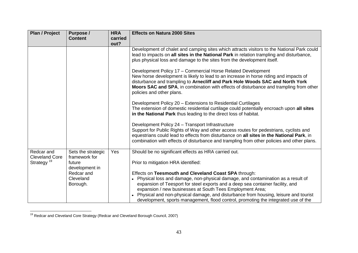| <b>Plan / Project</b>               | Purpose /<br><b>Content</b>         | <b>HRA</b><br>carried<br>out? | <b>Effects on Natura 2000 Sites</b>                                                                                                                                                                                                                                                                                                                                                                                                                                  |
|-------------------------------------|-------------------------------------|-------------------------------|----------------------------------------------------------------------------------------------------------------------------------------------------------------------------------------------------------------------------------------------------------------------------------------------------------------------------------------------------------------------------------------------------------------------------------------------------------------------|
|                                     |                                     |                               | Development of chalet and camping sites which attracts visitors to the National Park could<br>lead to impacts on all sites in the National Park in relation trampling and disturbance,<br>plus physical loss and damage to the sites from the development itself.                                                                                                                                                                                                    |
|                                     |                                     |                               | Development Policy 17 - Commercial Horse Related Development<br>New horse development is likely to lead to an increase in horse riding and impacts of<br>disturbance and trampling to Arnecliff and Park Hole Woods SAC and North York<br>Moors SAC and SPA, in combination with effects of disturbance and trampling from other<br>policies and other plans.                                                                                                        |
|                                     |                                     |                               | Development Policy 20 – Extensions to Residential Curtilages<br>The extension of domestic residential curtilage could potentially encroach upon all sites<br>in the National Park thus leading to the direct loss of habitat.                                                                                                                                                                                                                                        |
|                                     |                                     |                               | Development Policy 24 - Transport Infrastructure<br>Support for Public Rights of Way and other access routes for pedestrians, cyclists and<br>equestrians could lead to effects from disturbance on all sites in the National Park, in<br>combination with effects of disturbance and trampling from other policies and other plans.                                                                                                                                 |
| Redcar and<br><b>Cleveland Core</b> | Sets the strategic<br>framework for | Yes                           | Should be no significant effects as HRA carried out.                                                                                                                                                                                                                                                                                                                                                                                                                 |
| Strategy <sup>19</sup>              | future<br>development in            |                               | Prior to mitigation HRA identified:                                                                                                                                                                                                                                                                                                                                                                                                                                  |
|                                     | Redcar and<br>Cleveland<br>Borough. |                               | Effects on Teesmouth and Cleveland Coast SPA through:<br>Physical loss and damage, non-physical damage, and contamination as a result of<br>expansion of Teesport for steel exports and a deep sea container facility, and<br>expansion / new businesses at South Tees Employment Area;<br>Physical and non-physical damage, and disturbance from housing, leisure and tourist<br>development, sports management, flood control, promoting the integrated use of the |

 $\overline{a}$ <sup>19</sup> Redcar and Cleveland Core Strategy (Redcar and Cleveland Borough Council, 2007)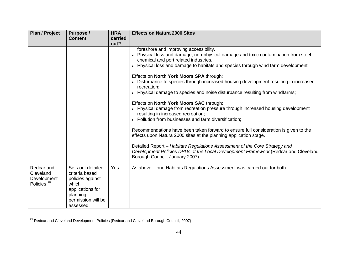| <b>Plan / Project</b>                                            | Purpose /<br><b>Content</b>                                                                                                         | <b>HRA</b><br>carried | <b>Effects on Natura 2000 Sites</b>                                                                                                                                                                                                                                                                                                                                                                                                                                                                                                                                                                                                                                                                                           |
|------------------------------------------------------------------|-------------------------------------------------------------------------------------------------------------------------------------|-----------------------|-------------------------------------------------------------------------------------------------------------------------------------------------------------------------------------------------------------------------------------------------------------------------------------------------------------------------------------------------------------------------------------------------------------------------------------------------------------------------------------------------------------------------------------------------------------------------------------------------------------------------------------------------------------------------------------------------------------------------------|
|                                                                  |                                                                                                                                     | out?                  | foreshore and improving accessibility.<br>Physical loss and damage, non-physical damage and toxic contamination from steel<br>chemical and port related industries.<br>Physical loss and damage to habitats and species through wind farm development<br>$\bullet$<br>Effects on North York Moors SPA through:<br>Disturbance to species through increased housing development resulting in increased<br>recreation;<br>Physical damage to species and noise disturbance resulting from windfarms;<br>Effects on North York Moors SAC through:<br>Physical damage from recreation pressure through increased housing development<br>resulting in increased recreation;<br>Pollution from businesses and farm diversification; |
|                                                                  |                                                                                                                                     |                       | Recommendations have been taken forward to ensure full consideration is given to the<br>effects upon Natura 2000 sites at the planning application stage.<br>Detailed Report - Habitats Regulations Assessment of the Core Strategy and<br>Development Policies DPDs of the Local Development Framework (Redcar and Cleveland<br>Borough Council, January 2007)                                                                                                                                                                                                                                                                                                                                                               |
| Redcar and<br>Cleveland<br>Development<br>Policies <sup>20</sup> | Sets out detailed<br>criteria based<br>policies against<br>which<br>applications for<br>planning<br>permission will be<br>assessed. | Yes                   | As above – one Habitats Regulations Assessment was carried out for both.                                                                                                                                                                                                                                                                                                                                                                                                                                                                                                                                                                                                                                                      |

 $^{20}$  Redcar and Cleveland Development Policies (Redcar and Cleveland Borough Council, 2007)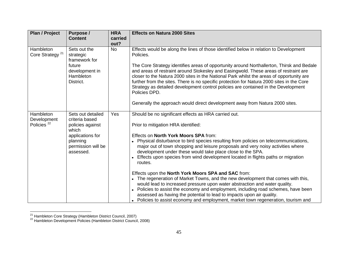| <b>Plan / Project</b>                              | Purpose /<br><b>Content</b>                                                                                                         | <b>HRA</b><br>carried<br>out? | <b>Effects on Natura 2000 Sites</b>                                                                                                                                                                                                                                                                                                                                                                                                                                                  |
|----------------------------------------------------|-------------------------------------------------------------------------------------------------------------------------------------|-------------------------------|--------------------------------------------------------------------------------------------------------------------------------------------------------------------------------------------------------------------------------------------------------------------------------------------------------------------------------------------------------------------------------------------------------------------------------------------------------------------------------------|
| Hambleton<br>Core Strategy <sup>21</sup>           | Sets out the<br>strategic<br>framework for<br>future<br>development in<br>Hambleton<br>District.                                    | <b>No</b>                     | Effects would be along the lines of those identified below in relation to Development<br>Policies.<br>The Core Strategy identifies areas of opportunity around Northallerton, Thirsk and Bedale<br>and areas of restraint around Stokesley and Easingwold. These areas of restraint are<br>closer to the Natura 2000 sites in the National Park whilst the areas of opportunity are<br>further from the sites. There is no specific protection for Natura 2000 sites in the Core     |
|                                                    |                                                                                                                                     |                               | Strategy as detailed development control policies are contained in the Development<br>Policies DPD.<br>Generally the approach would direct development away from Natura 2000 sites.                                                                                                                                                                                                                                                                                                  |
| Hambleton<br>Development<br>Policies <sup>22</sup> | Sets out detailed<br>criteria based<br>policies against<br>which<br>applications for<br>planning<br>permission will be<br>assessed. | Yes                           | Should be no significant effects as HRA carried out.<br>Prior to mitigation HRA identified:<br>Effects on North York Moors SPA from:<br>Physical disturbance to bird species resulting from policies on telecommunications,<br>major out of town shopping and leisure proposals and very noisy activities where<br>development under these would take place close to the SPA.<br>Effects upon species from wind development located in flights paths or migration<br>routes.         |
|                                                    |                                                                                                                                     |                               | Effects upon the North York Moors SPA and SAC from:<br>• The regeneration of Market Towns, and the new development that comes with this,<br>would lead to increased pressure upon water abstraction and water quality.<br>Policies to assist the economy and employment, including road schemes, have been<br>$\bullet$<br>assessed as having the potential to lead to impacts upon air quality.<br>Policies to assist economy and employment, market town regeneration, tourism and |

<sup>&</sup>lt;sup>21</sup> Hambleton Core Strategy (Hambleton District Council, 2007)

<sup>&</sup>lt;sup>22</sup> Hambleton Development Policies (Hambleton District Council, 2008)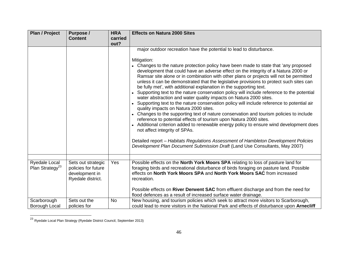| <b>Plan / Project</b>                        | Purpose /                                                                        | <b>HRA</b>      | <b>Effects on Natura 2000 Sites</b>                                                                                                                                                                                                                                                                                                                                                                                                                                                                                                                                                                                                                                                                                                                                                                                                                                                                                                                                                                                                                                                                                                                                                                                                                                                                 |
|----------------------------------------------|----------------------------------------------------------------------------------|-----------------|-----------------------------------------------------------------------------------------------------------------------------------------------------------------------------------------------------------------------------------------------------------------------------------------------------------------------------------------------------------------------------------------------------------------------------------------------------------------------------------------------------------------------------------------------------------------------------------------------------------------------------------------------------------------------------------------------------------------------------------------------------------------------------------------------------------------------------------------------------------------------------------------------------------------------------------------------------------------------------------------------------------------------------------------------------------------------------------------------------------------------------------------------------------------------------------------------------------------------------------------------------------------------------------------------------|
|                                              | <b>Content</b>                                                                   | carried<br>out? |                                                                                                                                                                                                                                                                                                                                                                                                                                                                                                                                                                                                                                                                                                                                                                                                                                                                                                                                                                                                                                                                                                                                                                                                                                                                                                     |
|                                              |                                                                                  |                 | major outdoor recreation have the potential to lead to disturbance.<br>Mitigation:<br>• Changes to the nature protection policy have been made to state that 'any proposed<br>development that could have an adverse effect on the integrity of a Natura 2000 or<br>Ramsar site alone or in combination with other plans or projects will not be permitted<br>unless it can be demonstrated that the legislative provisions to protect such sites can<br>be fully met', with additional explanation in the supporting text.<br>Supporting text to the nature conservation policy will include reference to the potential<br>water abstraction and water quality impacts on Natura 2000 sites.<br>Supporting text to the nature conservation policy will include reference to potential air<br>quality impacts on Natura 2000 sites.<br>Changes to the supporting text of nature conservation and tourism policies to include<br>reference to potential effects of tourism upon Natura 2000 sites.<br>• Additional criterion added to renewable energy policy to ensure wind development does<br>not affect integrity of SPAs.<br>Detailed report - Habitats Regulations Assessment of Hambleton Development Policies<br>Development Plan Document Submission Draft (Land Use Consultants, May 2007) |
| Ryedale Local<br>Plan Strategy <sup>23</sup> | Sets out strategic<br>policies for future<br>development in<br>Ryedale district. | Yes             | Possible effects on the North York Moors SPA relating to loss of pasture land for<br>foraging birds and recreational disturbance of birds foraging on pasture land. Possible<br>effects on North York Moors SPA and North York Moors SAC from increased<br>recreation.<br>Possible effects on River Derwent SAC from effluent discharge and from the need for<br>flood defences as a result of increased surface water drainage.                                                                                                                                                                                                                                                                                                                                                                                                                                                                                                                                                                                                                                                                                                                                                                                                                                                                    |
| Scarborough                                  | Sets out the                                                                     | <b>No</b>       | New housing, and tourism policies which seek to attract more visitors to Scarborough,                                                                                                                                                                                                                                                                                                                                                                                                                                                                                                                                                                                                                                                                                                                                                                                                                                                                                                                                                                                                                                                                                                                                                                                                               |
| Borough Local                                | policies for                                                                     |                 | could lead to more visitors in the National Park and effects of disturbance upon Arnecliff                                                                                                                                                                                                                                                                                                                                                                                                                                                                                                                                                                                                                                                                                                                                                                                                                                                                                                                                                                                                                                                                                                                                                                                                          |

 $^{23}$  Ryedale Local Plan Strategy (Ryedale District Council, September 2013)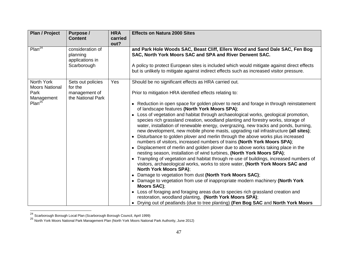| <b>Plan / Project</b>                                                           | Purpose /<br><b>Content</b>                                        | <b>HRA</b><br>carried<br>out? | <b>Effects on Natura 2000 Sites</b>                                                                                                                                                                                                                                                                                                                                                                                                                                                                                                                                                                                                                                                                                                                                                                                                                                                                                                                                                                                                                                                                                                                                                                                                                                                                                                                                                                                                                                                                                                                                       |
|---------------------------------------------------------------------------------|--------------------------------------------------------------------|-------------------------------|---------------------------------------------------------------------------------------------------------------------------------------------------------------------------------------------------------------------------------------------------------------------------------------------------------------------------------------------------------------------------------------------------------------------------------------------------------------------------------------------------------------------------------------------------------------------------------------------------------------------------------------------------------------------------------------------------------------------------------------------------------------------------------------------------------------------------------------------------------------------------------------------------------------------------------------------------------------------------------------------------------------------------------------------------------------------------------------------------------------------------------------------------------------------------------------------------------------------------------------------------------------------------------------------------------------------------------------------------------------------------------------------------------------------------------------------------------------------------------------------------------------------------------------------------------------------------|
| Plan <sup>24</sup>                                                              | consideration of<br>planning<br>applications in<br>Scarborough     |                               | and Park Hole Woods SAC, Beast Cliff, Ellers Wood and Sand Dale SAC, Fen Bog<br>SAC, North York Moors SAC and SPA and River Derwent SAC.<br>A policy to protect European sites is included which would mitigate against direct effects<br>but is unlikely to mitigate against indirect effects such as increased visitor pressure.                                                                                                                                                                                                                                                                                                                                                                                                                                                                                                                                                                                                                                                                                                                                                                                                                                                                                                                                                                                                                                                                                                                                                                                                                                        |
| North York<br><b>Moors National</b><br>Park<br>Management<br>Plan <sup>25</sup> | Sets out policies<br>for the<br>management of<br>the National Park | Yes                           | Should be no significant effects as HRA carried out.<br>Prior to mitigation HRA identified effects relating to:<br>• Reduction in open space for golden plover to nest and forage in through reinstatement<br>of landscape features (North York Moors SPA);<br>• Loss of vegetation and habitat through archaeological works, geological promotion,<br>species rich grassland creation, woodland planting and forestry works, storage of<br>water, installation of renewable energy, overgrazing, new tracks and ponds, burning,<br>new development, new mobile phone masts, upgrading rail infrastructure (all sites);<br>Disturbance to golden plover and merlin through the above works plus increased<br>numbers of visitors, increased numbers of trains (North York Moors SPA);<br>Displacement of merlin and golden plover due to above works taking place in the<br>nesting season, installation of wind turbines, (North York Moors SPA);<br>• Trampling of vegetation and habitat through re-use of buildings, increased numbers of<br>visitors, archaeological works, works to store water, (North York Moors SAC and<br><b>North York Moors SPA);</b><br>• Damage to vegetation from dust (North York Moors SAC);<br>Damage to vegetation from use of inappropriate modern machinery (North York<br>Moors SAC);<br>Loss of foraging and foraging areas due to species rich grassland creation and<br>$\bullet$<br>restoration, woodland planting, (North York Moors SPA);<br>Drying out of peatlands (due to tree planting) (Fen Bog SAC and North York Moors |

<sup>&</sup>lt;sup>24</sup> Scarborough Borough Local Plan (Scarborough Borough Council, April 1999)

<sup>25</sup> North York Moors National Park Management Plan (North York Moors National Park Authority, June 2012)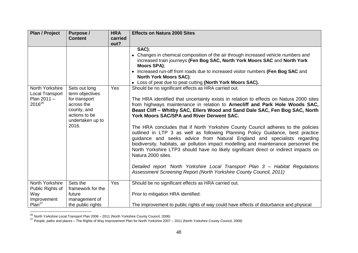| <b>Plan / Project</b>                                      | Purpose /                                                               | <b>HRA</b>  | <b>Effects on Natura 2000 Sites</b>                                                                                                                                                                                                                                                                                                                                                                                                                                                                                                                                                                                                                                                                                                                                                                                           |
|------------------------------------------------------------|-------------------------------------------------------------------------|-------------|-------------------------------------------------------------------------------------------------------------------------------------------------------------------------------------------------------------------------------------------------------------------------------------------------------------------------------------------------------------------------------------------------------------------------------------------------------------------------------------------------------------------------------------------------------------------------------------------------------------------------------------------------------------------------------------------------------------------------------------------------------------------------------------------------------------------------------|
|                                                            | <b>Content</b>                                                          | carried     |                                                                                                                                                                                                                                                                                                                                                                                                                                                                                                                                                                                                                                                                                                                                                                                                                               |
| North Yorkshire<br><b>Local Transport</b><br>Plan $2011 -$ | Sets out long<br>term objectives<br>for transport                       | out?<br>Yes | SAC);<br>• Changes in chemical composition of the air through increased vehicle numbers and<br>increased train journeys (Fen Bog SAC, North York Moors SAC and North York<br>Moors SPA);<br>• Increased run-off from roads due to increased visitor numbers (Fen Bog SAC and<br><b>North York Moors SAC);</b><br>Loss of peat due to peat cutting (North York Moors SAC).<br>Should be no significant effects as HRA carried out.<br>The HRA identified that uncertainty exists in relation to effects on Natura 2000 sites                                                                                                                                                                                                                                                                                                   |
| 2016 <sup>26</sup>                                         | across the<br>county, and<br>actions to be<br>undertaken up to<br>2016. |             | from highways maintenance in relation to Arnecliff and Park Hole Woods SAC,<br>Beast Cliff - Whitby SAC, Ellers Wood and Sand Dale SAC, Fen Bog SAC, North<br><b>York Moors SAC/SPA and River Derwent SAC.</b><br>The HRA concludes that if North Yorkshire County Council adheres to the policies<br>outlined in LTP 3 as well as following Planning Policy Guidance, best practice<br>guidance and seeks advice from Natural England and specialists regarding<br>biodiversity, habitats, air pollution impact modelling and maintenance personnel the<br>North Yorkshire LTP3 should have no likely significant direct or indirect impacts on<br>Natura 2000 sites.<br>Detailed report 'North Yorkshire Local Transport Plan 3 - Habitat Regulations<br>Assessment Screening Report (North Yorkshire County Council, 2011) |
| North Yorkshire<br>Public Rights of                        | Sets the<br>framework for the                                           | Yes         | Should be no significant effects as HRA carried out.                                                                                                                                                                                                                                                                                                                                                                                                                                                                                                                                                                                                                                                                                                                                                                          |
| Way<br>Improvement                                         | future<br>management of                                                 |             | Prior to mitigation HRA identified:                                                                                                                                                                                                                                                                                                                                                                                                                                                                                                                                                                                                                                                                                                                                                                                           |
| Plan <sup>27</sup>                                         | the public rights                                                       |             | The improvement to public rights of way could have effects of disturbance and physical                                                                                                                                                                                                                                                                                                                                                                                                                                                                                                                                                                                                                                                                                                                                        |

<sup>&</sup>lt;sup>26</sup> North Yorkshire Local Transport Plan 2006 – 2011 (North Yorkshire County Council, 2006)

 $^{27}$  People, paths and places – The Rights of Way Improvement Plan for North Yorkshire 2007 – 2011 (North Yorkshire County Council, 2008)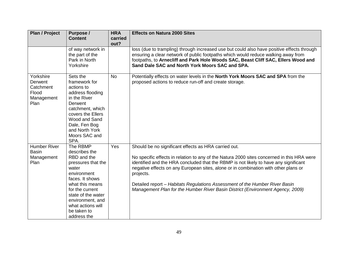| <b>Plan / Project</b>                                            | Purpose /<br><b>Content</b>                                                                                                                                                                                                                  | <b>HRA</b><br>carried | <b>Effects on Natura 2000 Sites</b>                                                                                                                                                                                                                                                                                                                                                                                                                                                                             |
|------------------------------------------------------------------|----------------------------------------------------------------------------------------------------------------------------------------------------------------------------------------------------------------------------------------------|-----------------------|-----------------------------------------------------------------------------------------------------------------------------------------------------------------------------------------------------------------------------------------------------------------------------------------------------------------------------------------------------------------------------------------------------------------------------------------------------------------------------------------------------------------|
|                                                                  | of way network in<br>the part of the<br>Park in North<br>Yorkshire                                                                                                                                                                           | out?                  | loss (due to trampling) through increased use but could also have positive effects through<br>ensuring a clear network of public footpaths which would reduce walking away from<br>footpaths, to Arnecliff and Park Hole Woods SAC, Beast Cliff SAC, Ellers Wood and<br>Sand Dale SAC and North York Moors SAC and SPA.                                                                                                                                                                                         |
| Yorkshire<br>Derwent<br>Catchment<br>Flood<br>Management<br>Plan | Sets the<br>framework for<br>actions to<br>address flooding<br>in the River<br>Derwent<br>catchment, which<br>covers the Ellers<br>Wood and Sand<br>Dale, Fen Bog<br>and North York<br>Moors SAC and<br>SPA.                                 | <b>No</b>             | Potentially effects on water levels in the North York Moors SAC and SPA from the<br>proposed actions to reduce run-off and create storage.                                                                                                                                                                                                                                                                                                                                                                      |
| <b>Humber River</b><br><b>Basin</b><br>Management<br>Plan        | The RBMP<br>describes the<br>RBD and the<br>pressures that the<br>water<br>environment<br>faces. It shows<br>what this means<br>for the current<br>state of the water<br>environment, and<br>what actions will<br>be taken to<br>address the | Yes                   | Should be no significant effects as HRA carried out.<br>No specific effects in relation to any of the Natura 2000 sites concerned in this HRA were<br>identified and the HRA concluded that the RBMP is not likely to have any significant<br>negative effects on any European sites, alone or in combination with other plans or<br>projects.<br>Detailed report - Habitats Regulations Assessment of the Humber River Basin<br>Management Plan for the Humber River Basin District (Environment Agency, 2009) |